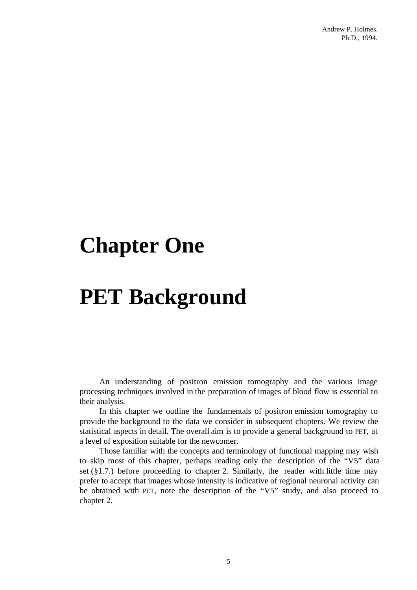# **Chapter One**

# **PET Background**

An understanding of positron emission tomography and the various image processing techniques involved in the preparation of images of blood flow is essential to their analysis.

In this chapter we outline the fundamentals of positron emission tomography to provide the background to the data we consider in subsequent chapters. We review the statistical aspects in detail. The overall aim is to provide a general background to PET, at a level of exposition suitable for the newcomer.

Those familiar with the concepts and terminology of functional mapping may wish to skip most of this chapter, perhaps reading only the description of the "V5" data set  $(\S1.7.)$  before proceeding to chapter 2. Similarly, the reader with little time may prefer to accept that images whose intensity is indicative of regional neuronal activity can be obtained with PET, note the description of the "V5" study, and also proceed to chapter 2.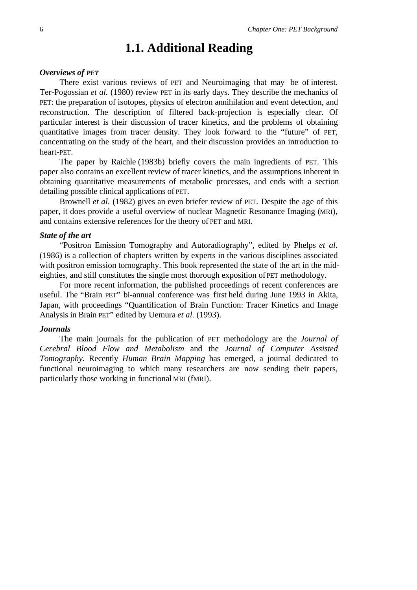# **1.1. Additional Reading**

### *Overviews of PET*

There exist various reviews of PET and Neuroimaging that may be of interest. Ter-Pogossian *et al.* (1980) review PET in its early days. They describe the mechanics of PET: the preparation of isotopes, physics of electron annihilation and event detection, and reconstruction. The description of filtered back-projection is especially clear. Of particular interest is their discussion of tracer kinetics, and the problems of obtaining quantitative images from tracer density. They look forward to the "future" of PET, concentrating on the study of the heart, and their discussion provides an introduction to heart-PET.

The paper by Raichle (1983b) briefly covers the main ingredients of PET. This paper also contains an excellent review of tracer kinetics, and the assumptions inherent in obtaining quantitative measurements of metabolic processes, and ends with a section detailing possible clinical applications of PET.

Brownell *et al.* (1982) gives an even briefer review of PET. Despite the age of this paper, it does provide a useful overview of nuclear Magnetic Resonance Imaging (MRI), and contains extensive references for the theory of PET and MRI.

### *State of the art*

"Positron Emission Tomography and Autoradiography", edited by Phelps *et al.* (1986) is a collection of chapters written by experts in the various disciplines associated with positron emission tomography. This book represented the state of the art in the mideighties, and still constitutes the single most thorough exposition of PET methodology.

For more recent information, the published proceedings of recent conferences are useful. The "Brain PET" bi-annual conference was first held during June 1993 in Akita, Japan, with proceedings "Quantification of Brain Function: Tracer Kinetics and Image Analysis in Brain PET" edited by Uemura *et al.* (1993).

### *Journals*

The main journals for the publication of PET methodology are the *Journal of Cerebral Blood Flow and Metabolism* and the *Journal of Computer Assisted Tomography.* Recently *Human Brain Mapping* has emerged, a journal dedicated to functional neuroimaging to which many researchers are now sending their papers, particularly those working in functional MRI (fMRI).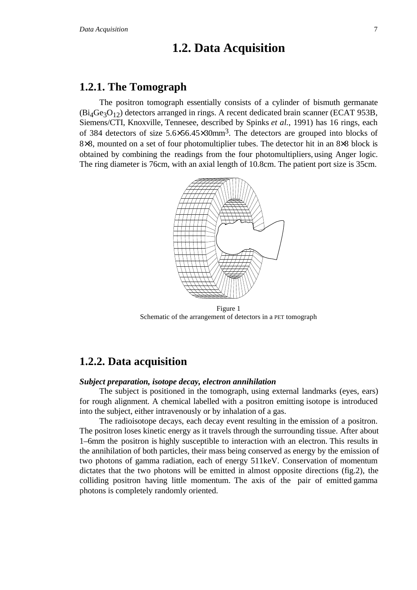# **1.2. Data Acquisition**

### **1.2.1. The Tomograph**

The positron tomograph essentially consists of a cylinder of bismuth germanate  $(Bi<sub>4</sub>Ge<sub>3</sub>O<sub>12</sub>)$  detectors arranged in rings. A recent dedicated brain scanner (ECAT 953B, Siemens/CTI, Knoxville, Tennesee, described by Spinks *et al.*, 1991) has 16 rings, each of 384 detectors of size 5.6×56.45×30mm3. The detectors are grouped into blocks of 8×8, mounted on a set of four photomultiplier tubes. The detector hit in an 8×8 block is obtained by combining the readings from the four photomultipliers, using Anger logic. The ring diameter is 76cm, with an axial length of 10.8cm. The patient port size is 35cm.



Figure 1 Schematic of the arrangement of detectors in a PET tomograph

### **1.2.2. Data acquisition**

### *Subject preparation, isotope decay, electron annihilation*

The subject is positioned in the tomograph, using external landmarks (eyes, ears) for rough alignment. A chemical labelled with a positron emitting isotope is introduced into the subject, either intravenously or by inhalation of a gas.

The radioisotope decays, each decay event resulting in the emission of a positron. The positron loses kinetic energy as it travels through the surrounding tissue. After about 1–6mm the positron is highly susceptible to interaction with an electron. This results in the annihilation of both particles, their mass being conserved as energy by the emission of two photons of gamma radiation, each of energy 511keV. Conservation of momentum dictates that the two photons will be emitted in almost opposite directions (fig.2), the colliding positron having little momentum. The axis of the pair of emitted gamma photons is completely randomly oriented.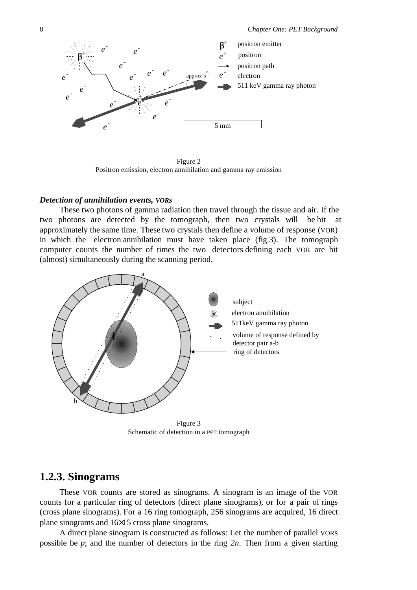

Figure 2 Positron emission, electron annihilation and gamma ray emission

### *Detection of annihilation events, VORs*

These two photons of gamma radiation then travel through the tissue and air. If the two photons are detected by the tomograph, then two crystals will be hit at approximately the same time. These two crystals then define a volume of response (VOR) in which the electron annihilation must have taken place (fig.3). The tomograph computer counts the number of times the two detectors defining each VOR are hit (almost) simultaneously during the scanning period.



Figure 3 Schematic of detection in a PET tomograph

### **1.2.3. Sinograms**

These VOR counts are stored as sinograms. A sinogram is an image of the VOR counts for a particular ring of detectors (direct plane sinograms), or for a pair of rings (cross plane sinograms). For a 16 ring tomograph, 256 sinograms are acquired, 16 direct plane sinograms and 16×15 cross plane sinograms.

A direct plane sinogram is constructed as follows: Let the number of parallel VORs possible be *p*; and the number of detectors in the ring *2n*. Then from a given starting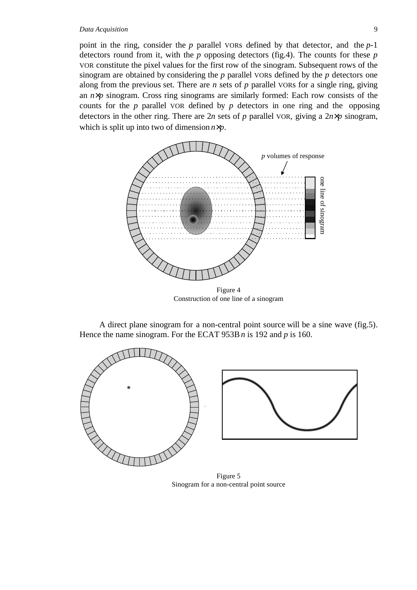#### *Data Acquisition* 9

point in the ring, consider the *p* parallel VORs defined by that detector, and the *p*-1 detectors round from it, with the *p* opposing detectors (fig.4). The counts for these *p* VOR constitute the pixel values for the first row of the sinogram. Subsequent rows of the sinogram are obtained by considering the *p* parallel VORs defined by the *p* detectors one along from the previous set. There are *n* sets of *p* parallel VORs for a single ring, giving an *n*×*p* sinogram. Cross ring sinograms are similarly formed: Each row consists of the counts for the *p* parallel VOR defined by *p* detectors in one ring and the opposing detectors in the other ring. There are  $2n$  sets of *p* parallel VOR, giving a  $2n \times p$  sinogram, which is split up into two of dimension *n*×*p*.



Construction of one line of a sinogram

A direct plane sinogram for a non-central point source will be a sine wave (fig.5). Hence the name sinogram. For the ECAT 953B *n* is 192 and *p* is 160.



Figure 5 Sinogram for a non-central point source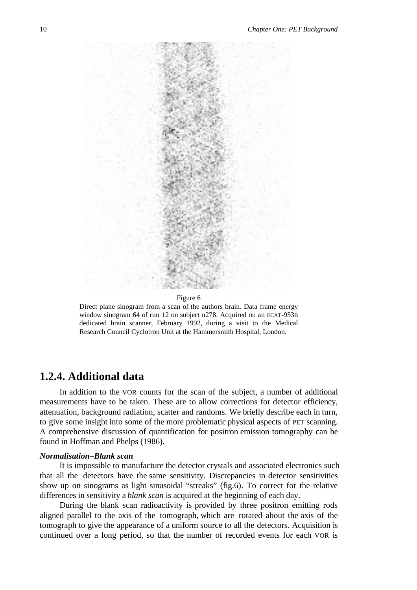

#### Figure 6

Direct plane sinogram from a scan of the authors brain. Data frame energy window sinogram 64 of run 12 on subject n278. Acquired on an ECAT-953B dedicated brain scanner, February 1992, during a visit to the Medical Research Council Cyclotron Unit at the Hammersmith Hospital, London.

### **1.2.4. Additional data**

In addition to the VOR counts for the scan of the subject, a number of additional measurements have to be taken. These are to allow corrections for detector efficiency, attenuation, background radiation, scatter and randoms. We briefly describe each in turn, to give some insight into some of the more problematic physical aspects of PET scanning. A comprehensive discussion of quantification for positron emission tomography can be found in Hoffman and Phelps (1986).

### *Normalisation–Blank scan*

It is impossible to manufacture the detector crystals and associated electronics such that all the detectors have the same sensitivity. Discrepancies in detector sensitivities show up on sinograms as light sinusoidal "streaks" (fig.6). To correct for the relative differences in sensitivity a *blank scan* is acquired at the beginning of each day.

During the blank scan radioactivity is provided by three positron emitting rods aligned parallel to the axis of the tomograph, which are rotated about the axis of the tomograph to give the appearance of a uniform source to all the detectors. Acquisition is continued over a long period, so that the number of recorded events for each VOR is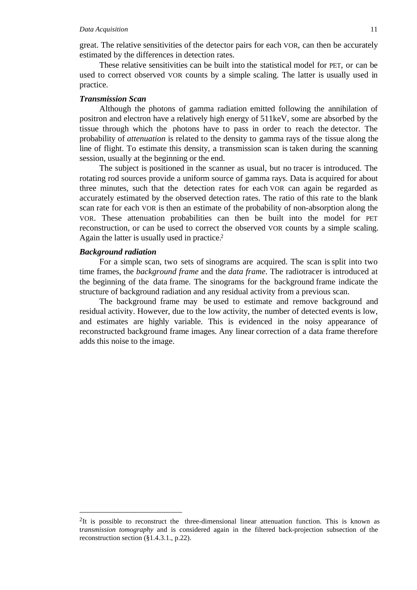great. The relative sensitivities of the detector pairs for each VOR, can then be accurately estimated by the differences in detection rates.

These relative sensitivities can be built into the statistical model for PET, or can be used to correct observed VOR counts by a simple scaling. The latter is usually used in practice.

### *Transmission Scan*

Although the photons of gamma radiation emitted following the annihilation of positron and electron have a relatively high energy of 511keV, some are absorbed by the tissue through which the photons have to pass in order to reach the detector. The probability of *attenuation* is related to the density to gamma rays of the tissue along the line of flight. To estimate this density, a transmission scan is taken during the scanning session, usually at the beginning or the end.

The subject is positioned in the scanner as usual, but no tracer is introduced. The rotating rod sources provide a uniform source of gamma rays. Data is acquired for about three minutes, such that the detection rates for each VOR can again be regarded as accurately estimated by the observed detection rates. The ratio of this rate to the blank scan rate for each VOR is then an estimate of the probability of non-absorption along the VOR. These attenuation probabilities can then be built into the model for PET reconstruction, or can be used to correct the observed VOR counts by a simple scaling. Again the latter is usually used in practice.2

### *Background radiation*

For a simple scan, two sets of sinograms are acquired. The scan is split into two time frames, the *background frame* and the *data frame*. The radiotracer is introduced at the beginning of the data frame. The sinograms for the background frame indicate the structure of background radiation and any residual activity from a previous scan.

The background frame may be used to estimate and remove background and residual activity. However, due to the low activity, the number of detected events is low, and estimates are highly variable. This is evidenced in the noisy appearance of reconstructed background frame images. Any linear correction of a data frame therefore adds this noise to the image.

 <sup>2</sup>It is possible to reconstruct the three-dimensional linear attenuation function. This is known as t*ransmission tomography* and is considered again in the filtered back-projection subsection of the reconstruction section (§1.4.3.1., p.22).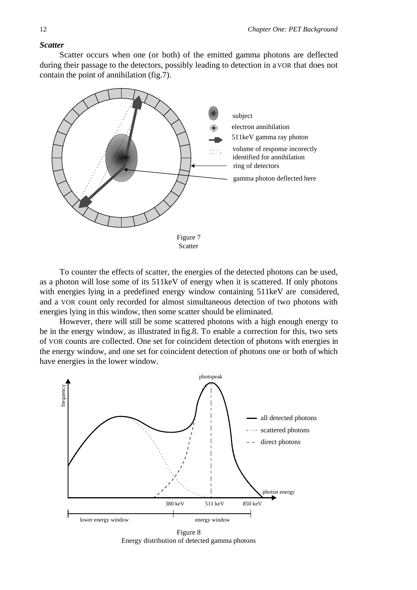### *Scatter*

Scatter occurs when one (or both) of the emitted gamma photons are deflected during their passage to the detectors, possibly leading to detection in a VOR that does not contain the point of annihilation (fig.7).



To counter the effects of scatter, the energies of the detected photons can be used, as a photon will lose some of its 511keV of energy when it is scattered. If only photons with energies lying in a predefined energy window containing 511keV are considered, and a VOR count only recorded for almost simultaneous detection of two photons with energies lying in this window, then some scatter should be eliminated.

However, there will still be some scattered photons with a high enough energy to be in the energy window, as illustrated in fig.8. To enable a correction for this, two sets of VOR counts are collected. One set for coincident detection of photons with energies in the energy window, and one set for coincident detection of photons one or both of which have energies in the lower window.



Figure 8 Energy distribution of detected gamma photons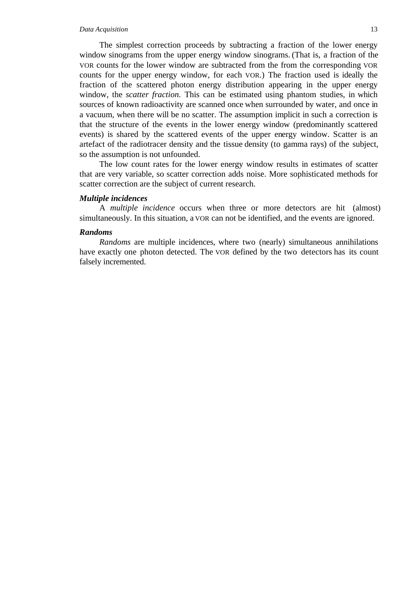#### *Data Acquisition* 13

The simplest correction proceeds by subtracting a fraction of the lower energy window sinograms from the upper energy window sinograms. (That is, a fraction of the VOR counts for the lower window are subtracted from the from the corresponding VOR counts for the upper energy window, for each VOR.) The fraction used is ideally the fraction of the scattered photon energy distribution appearing in the upper energy window, the *scatter fraction*. This can be estimated using phantom studies, in which sources of known radioactivity are scanned once when surrounded by water, and once in a vacuum, when there will be no scatter. The assumption implicit in such a correction is that the structure of the events in the lower energy window (predominantly scattered events) is shared by the scattered events of the upper energy window. Scatter is an artefact of the radiotracer density and the tissue density (to gamma rays) of the subject, so the assumption is not unfounded.

The low count rates for the lower energy window results in estimates of scatter that are very variable, so scatter correction adds noise. More sophisticated methods for scatter correction are the subject of current research.

### *Multiple incidences*

A *multiple incidence* occurs when three or more detectors are hit (almost) simultaneously. In this situation, a VOR can not be identified, and the events are ignored.

### *Randoms*

*Randoms* are multiple incidences, where two (nearly) simultaneous annihilations have exactly one photon detected. The VOR defined by the two detectors has its count falsely incremented.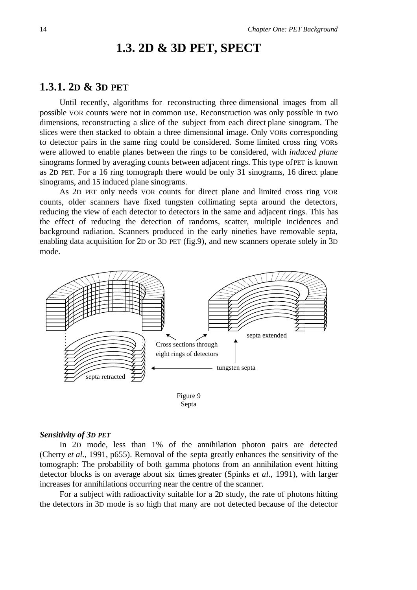# **1.3. 2D & 3D PET, SPECT**

### **1.3.1. 2D & 3D PET**

Until recently, algorithms for reconstructing three dimensional images from all possible VOR counts were not in common use. Reconstruction was only possible in two dimensions, reconstructing a slice of the subject from each direct plane sinogram. The slices were then stacked to obtain a three dimensional image. Only VORs corresponding to detector pairs in the same ring could be considered. Some limited cross ring VORs were allowed to enable planes between the rings to be considered, with *induced plane* sinograms formed by averaging counts between adjacent rings. This type of PET is known as 2D PET. For a 16 ring tomograph there would be only 31 sinograms, 16 direct plane sinograms, and 15 induced plane sinograms.

As 2D PET only needs VOR counts for direct plane and limited cross ring VOR counts, older scanners have fixed tungsten collimating septa around the detectors, reducing the view of each detector to detectors in the same and adjacent rings. This has the effect of reducing the detection of randoms, scatter, multiple incidences and background radiation. Scanners produced in the early nineties have removable septa, enabling data acquisition for 2D or 3D PET (fig.9), and new scanners operate solely in 3D mode.





#### *Sensitivity of 3D PET*

In 2D mode, less than 1% of the annihilation photon pairs are detected (Cherry *et al.*, 1991, p655). Removal of the septa greatly enhances the sensitivity of the tomograph: The probability of both gamma photons from an annihilation event hitting detector blocks is on average about six times greater (Spinks *et al.*, 1991), with larger increases for annihilations occurring near the centre of the scanner.

For a subject with radioactivity suitable for a 2D study, the rate of photons hitting the detectors in 3D mode is so high that many are not detected because of the detector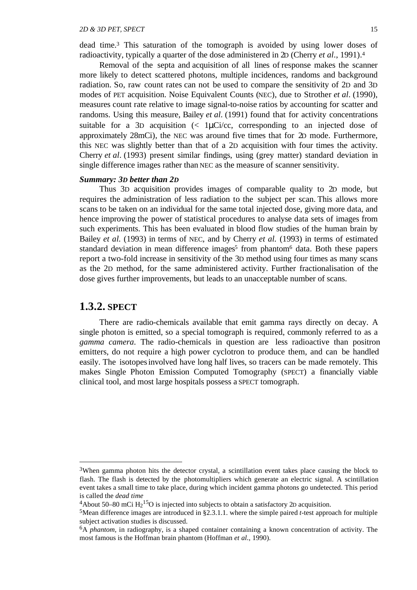dead time.3 This saturation of the tomograph is avoided by using lower doses of radioactivity, typically a quarter of the dose administered in 2D (Cherry *et al*., 1991).4

Removal of the septa and acquisition of all lines of response makes the scanner more likely to detect scattered photons, multiple incidences, randoms and background radiation. So, raw count rates can not be used to compare the sensitivity of 2D and 3D modes of PET acquisition. Noise Equivalent Counts (NEC), due to Strother *et al*. (1990), measures count rate relative to image signal-to-noise ratios by accounting for scatter and randoms. Using this measure, Bailey *et al*. (1991) found that for activity concentrations suitable for a 3D acquisition  $\langle \langle 1 \mu \text{Ci}/\text{cc}, \text{corresponding to an injected dose of} \rangle$ approximately 28mCi), the NEC was around five times that for 2D mode. Furthermore, this NEC was slightly better than that of a 2D acquisition with four times the activity. Cherry *et al*. (1993) present similar findings, using (grey matter) standard deviation in single difference images rather than NEC as the measure of scanner sensitivity.

### *Summary: 3D better than 2D*

Thus 3D acquisition provides images of comparable quality to 2D mode, but requires the administration of less radiation to the subject per scan. This allows more scans to be taken on an individual for the same total injected dose, giving more data, and hence improving the power of statistical procedures to analyse data sets of images from such experiments. This has been evaluated in blood flow studies of the human brain by Bailey *et al.* (1993) in terms of NEC, and by Cherry *et al.* (1993) in terms of estimated standard deviation in mean difference images<sup>5</sup> from phantom<sup>6</sup> data. Both these papers report a two-fold increase in sensitivity of the 3D method using four times as many scans as the 2D method, for the same administered activity. Further fractionalisation of the dose gives further improvements, but leads to an unacceptable number of scans.

### **1.3.2. SPECT**

There are radio-chemicals available that emit gamma rays directly on decay. A single photon is emitted, so a special tomograph is required, commonly referred to as a *gamma camera*. The radio-chemicals in question are less radioactive than positron emitters, do not require a high power cyclotron to produce them, and can be handled easily. The isotopes involved have long half lives, so tracers can be made remotely. This makes Single Photon Emission Computed Tomography (SPECT) a financially viable clinical tool, and most large hospitals possess a SPECT tomograph.

<sup>&</sup>lt;sup>3</sup>When gamma photon hits the detector crystal, a scintillation event takes place causing the block to flash. The flash is detected by the photomultipliers which generate an electric signal. A scintillation event takes a small time to take place, during which incident gamma photons go undetected. This period is called the *dead time*

<sup>&</sup>lt;sup>4</sup>About 50–80 mCi  $H_2$ <sup>15</sup>O is injected into subjects to obtain a satisfactory 2D acquisition.

<sup>5</sup>Mean difference images are introduced in §2.3.1.1. where the simple paired *t*-test approach for multiple subject activation studies is discussed.

<sup>6</sup>A *phantom,* in radiography, is a shaped container containing a known concentration of activity. The most famous is the Hoffman brain phantom (Hoffman *et al.*, 1990).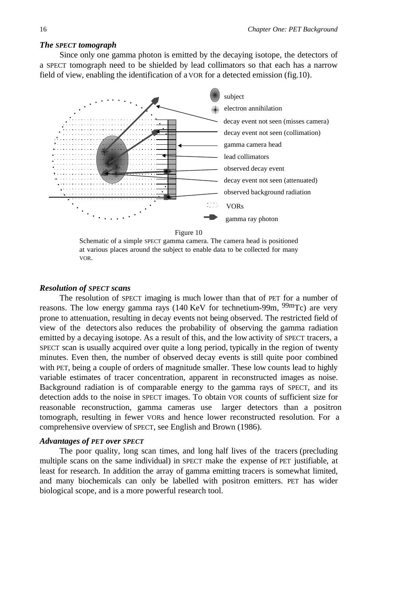#### *The SPECT tomograph*

Since only one gamma photon is emitted by the decaying isotope, the detectors of a SPECT tomograph need to be shielded by lead collimators so that each has a narrow field of view, enabling the identification of a VOR for a detected emission (fig.10).



Schematic of a simple SPECT gamma camera. The camera head is positioned at various places around the subject to enable data to be collected for many VOR.

### *Resolution of SPECT scans*

The resolution of SPECT imaging is much lower than that of PET for a number of reasons. The low energy gamma rays (140 KeV for technetium-99m,  $99mTc$ ) are very prone to attenuation, resulting in decay events not being observed. The restricted field of view of the detectors also reduces the probability of observing the gamma radiation emitted by a decaying isotope. As a result of this, and the low activity of SPECT tracers, a SPECT scan is usually acquired over quite a long period, typically in the region of twenty minutes. Even then, the number of observed decay events is still quite poor combined with PET, being a couple of orders of magnitude smaller. These low counts lead to highly variable estimates of tracer concentration, apparent in reconstructed images as noise. Background radiation is of comparable energy to the gamma rays of SPECT, and its detection adds to the noise in SPECT images. To obtain VOR counts of sufficient size for reasonable reconstruction, gamma cameras use larger detectors than a positron tomograph, resulting in fewer VORs and hence lower reconstructed resolution. For a comprehensive overview of SPECT, see English and Brown (1986).

### *Advantages of PET over SPECT*

The poor quality, long scan times, and long half lives of the tracers (precluding multiple scans on the same individual) in SPECT make the expense of PET justifiable, at least for research. In addition the array of gamma emitting tracers is somewhat limited, and many biochemicals can only be labelled with positron emitters. PET has wider biological scope, and is a more powerful research tool.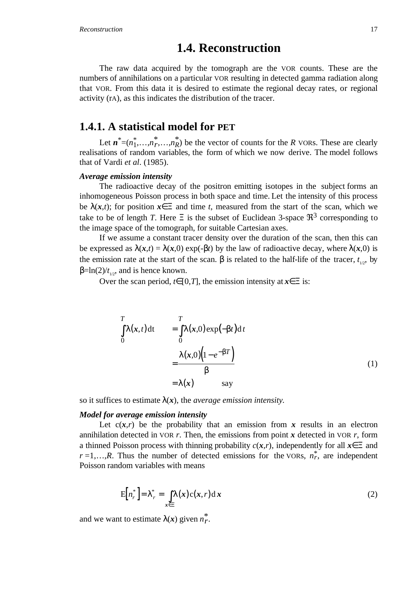# **1.4. Reconstruction**

The raw data acquired by the tomograph are the VOR counts. These are the numbers of annihilations on a particular VOR resulting in detected gamma radiation along that VOR. From this data it is desired to estimate the regional decay rates, or regional activity (rA), as this indicates the distribution of the tracer.

### **1.4.1. A statistical model for PET**

Let  $n^* = (n_1^*, \ldots, n_r^*, \ldots, n_R^*)$  be the vector of counts for the *R* vORs. These are clearly realisations of random variables, the form of which we now derive. The model follows that of Vardi *et al*. (1985).

#### *Average emission intensity*

The radioactive decay of the positron emitting isotopes in the subject forms an inhomogeneous Poisson process in both space and time. Let the intensity of this process be  $\lambda(x,t)$ ; for position  $x \in \Xi$  and time *t*, measured from the start of the scan, which we take to be of length *T*. Here  $\Xi$  is the subset of Euclidean 3-space  $\mathfrak{R}^3$  corresponding to the image space of the tomograph, for suitable Cartesian axes.

If we assume a constant tracer density over the duration of the scan, then this can be expressed as  $\lambda(x,t) = \lambda(x,0) \exp(-\beta t)$  by the law of radioactive decay, where  $\lambda(x,0)$  is the emission rate at the start of the scan.  $\beta$  is related to the half-life of the tracer,  $t_{1,2}$ , by  $β=ln(2)/t_{1/2}$ , and is hence known.

Over the scan period,  $t \in [0,T]$ , the emission intensity at  $x \in \Xi$  is:

$$
\int_{0}^{T} \lambda(x, t) dt = \int_{0}^{T} \lambda(x, 0) exp(-\beta t) dt
$$
\n
$$
= \frac{\lambda(x, 0) (1 - e^{-\beta T})}{\beta}
$$
\n
$$
= \lambda(x) \qquad \text{say}
$$
\n(1)

so it suffices to estimate  $\lambda(x)$ , the *average emission intensity*.

#### *Model for average emission intensity*

Let  $c(x,r)$  be the probability that an emission from x results in an electron annihilation detected in VOR  $r$ . Then, the emissions from point  $x$  detected in VOR  $r$ , form a thinned Poisson process with thinning probability *c*(*x*,*r*), independently for all *x*∈Ξ and  $r=1,...,R$ . Thus the number of detected emissions for the VORs,  $n_r^*$ , are independent Poisson random variables with means

$$
E[n_r^*] = \lambda_r^* = \int_{x \in \Xi} \lambda(x) c(x, r) dx
$$
 (2)

and we want to estimate  $\lambda(x)$  given  $n_r^*$ .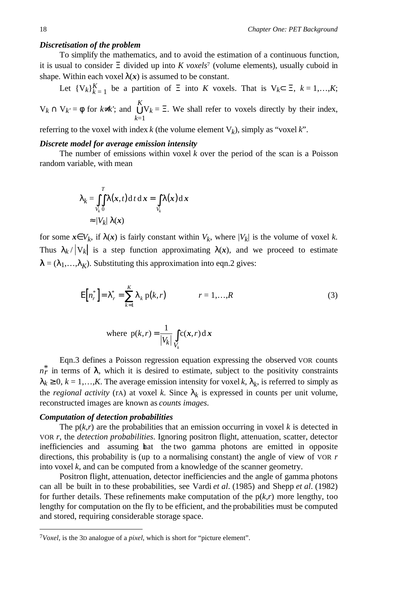### *Discretisation of the problem*

To simplify the mathematics, and to avoid the estimation of a continuous function, it is usual to consider Ξ divided up into *K voxels*7 (volume elements), usually cuboid in shape. Within each voxel  $\lambda(x)$  is assumed to be constant.

Let  $\{V_k\}_{k=1}^K$  be a partition of  $\Xi$  into *K* voxels. That is  $V_k \subset \Xi$ ,  $k = 1,...,K$ ;  $V_k \cap V_{k'} = \phi$  for  $k \neq k'$ ; and  $\bigcup$ *k*=1 *K*  $V_k = \Xi$ . We shall refer to voxels directly by their index,

referring to the voxel with index  $k$  (the volume element  $V_k$ ), simply as "voxel  $k$ ".

### *Discrete model for average emission intensity*

The number of emissions within voxel *k* over the period of the scan is a Poisson random variable, with mean

$$
\lambda_k = \int_{V_k}^{T} \lambda(x, t) dt dx = \int_{V_k} \lambda(x) dx
$$
  
\n
$$
\approx |V_k| \lambda(x)
$$

for some  $x \in V_k$ , if  $\lambda(x)$  is fairly constant within  $V_k$ , where  $|V_k|$  is the volume of voxel k. Thus  $\lambda_k / |V_k|$  is a step function approximating  $\lambda(x)$ , and we proceed to estimate  $\lambda = (\lambda_1, \ldots, \lambda_K)$ . Substituting this approximation into eqn.2 gives:

$$
E[n_r^*] = \lambda_r^* = \sum_{k=1}^K \lambda_k p(k, r)
$$
  $r = 1,...,R$  (3)

where 
$$
p(k,r) = \frac{1}{|V_k|} \int_{V_k} c(x,r) dx
$$

Eqn.3 defines a Poisson regression equation expressing the observed VOR counts  $n_r^*$  in terms of  $\lambda$ , which it is desired to estimate, subject to the positivity constraints  $\lambda_k \geq 0$ ,  $k = 1,...,K$ . The average emission intensity for voxel *k*,  $\lambda_k$ , is referred to simply as the *regional activity* (rA) at voxel *k*. Since  $\lambda_k$  is expressed in counts per unit volume, reconstructed images are known as *counts images*.

### *Computation of detection probabilities*

The  $p(k,r)$  are the probabilities that an emission occurring in voxel k is detected in VOR *r*, the *detection probabilities*. Ignoring positron flight, attenuation, scatter, detector inefficiencies and assuming hat the two gamma photons are emitted in opposite directions, this probability is (up to a normalising constant) the angle of view of VOR *r* into voxel *k*, and can be computed from a knowledge of the scanner geometry.

Positron flight, attenuation, detector inefficiencies and the angle of gamma photons can all be built in to these probabilities, see Vardi *et al*. (1985) and Shepp *et al*. (1982) for further details. These refinements make computation of the  $p(k,r)$  more lengthy, too lengthy for computation on the fly to be efficient, and the probabilities must be computed and stored, requiring considerable storage space.

 <sup>7</sup>*Voxel*, is the 3D analogue of a *pixel*, which is short for "picture element".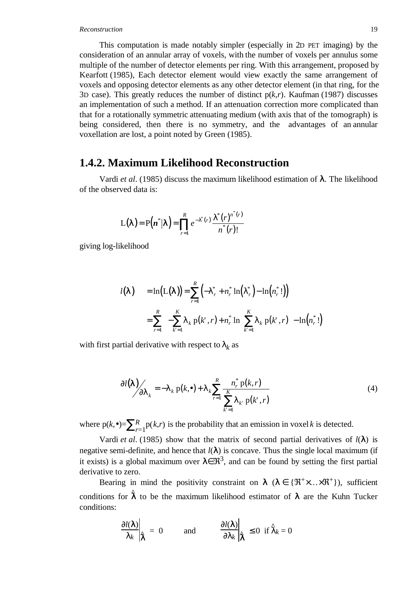#### *Reconstruction* 19

This computation is made notably simpler (especially in 2D PET imaging) by the consideration of an annular array of voxels, with the number of voxels per annulus some multiple of the number of detector elements per ring. With this arrangement, proposed by Kearfott (1985), Each detector element would view exactly the same arrangement of voxels and opposing detector elements as any other detector element (in that ring, for the 3D case). This greatly reduces the number of distinct p(*k,r*). Kaufman (1987) discusses an implementation of such a method. If an attenuation correction more complicated than that for a rotationally symmetric attenuating medium (with axis that of the tomograph) is being considered, then there is no symmetry, and the advantages of an annular voxellation are lost, a point noted by Green (1985).

### **1.4.2. Maximum Likelihood Reconstruction**

Vardi *et al*. (1985) discuss the maximum likelihood estimation of λ. The likelihood of the observed data is:

$$
L(\lambda) = P(n^*|\lambda) = \prod_{r=1}^R e^{-\lambda^*(r)} \frac{\lambda^*(r)^{n^*(r)}}{n^*(r)!}
$$

giving log-likelihood

$$
l(\lambda) = \ln(L(\lambda)) = \sum_{r=1}^{R} \left( -\lambda_r^* + n_r^* \ln(\lambda_r^*) - \ln(n_r^*) \right)
$$
  
= 
$$
\sum_{r=1}^{R} \left\{ -\sum_{k'=1}^{K} \lambda_k p(k', r) + n_r^* \ln \left[ \sum_{k'=1}^{K} \lambda_k p(k', r) \right] - \ln(n_r^*) \right\}
$$

with first partial derivative with respect to  $\lambda_k$  as

$$
\frac{\partial l(\lambda)}{\partial \lambda_k} = -\lambda_k \, \mathrm{p}(k, \bullet) + \lambda_k \sum_{r=1}^R \frac{n_r^* \, \mathrm{p}(k, r)}{\sum_{k'=1}^K \lambda_k \, \mathrm{p}(k', r)} \tag{4}
$$

where  $p(k, \bullet) = \sum_{r=1}^{R} p(k,r)$  is the probability that an emission in voxel *k* is detected.

Vardi *et al.* (1985) show that the matrix of second partial derivatives of  $l(\lambda)$  is negative semi-definite, and hence that  $l(\lambda)$  is concave. Thus the single local maximum (if it exists) is a global maximum over  $\lambda \in \mathbb{R}^3$ , and can be found by setting the first partial derivative to zero.

Bearing in mind the positivity constraint on  $\lambda$  ( $\lambda \in \{\Re^+ \times \ldots \times \Re^+\}\)$ , sufficient conditions for  $\hat{\lambda}$  to be the maximum likelihood estimator of  $\lambda$  are the Kuhn Tucker conditions:

$$
\frac{\partial l(\lambda)}{\lambda_k}\bigg|\hat{\lambda} = 0 \qquad \text{and} \qquad \frac{\partial l(\lambda)}{\partial \lambda_k}\bigg|\hat{\lambda} \le 0 \quad \text{if } \hat{\lambda}_k = 0
$$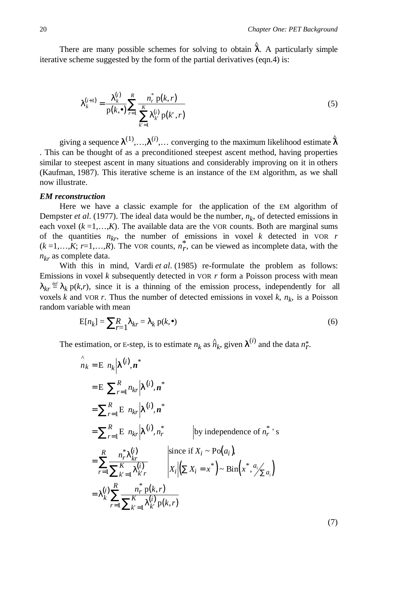There are many possible schemes for solving to obtain  $\hat{\lambda}$ . A particularly simple iterative scheme suggested by the form of the partial derivatives (eqn.4) is:

$$
\lambda_k^{(i+1)} = \frac{\lambda_k^{(i)}}{p(k, \bullet)} \sum_{r=1}^R \frac{n_r^* p(k, r)}{\sum_{k'=1}^K \lambda_k^{(i)} p(k', r)}
$$
(5)

giving a sequence  $\lambda^{(1)}, \ldots, \lambda^{(i)}, \ldots$  converging to the maximum likelihood estimate  $\hat{\lambda}$ . This can be thought of as a preconditioned steepest ascent method, having properties similar to steepest ascent in many situations and considerably improving on it in others (Kaufman, 1987). This iterative scheme is an instance of the EM algorithm, as we shall now illustrate.

### *EM reconstruction*

Here we have a classic example for the application of the EM algorithm of Dempster *et al.* (1977). The ideal data would be the number,  $n_k$ , of detected emissions in each voxel  $(k = 1, \ldots, K)$ . The available data are the VOR counts. Both are marginal sums of the quantities  $n_{kr}$ , the number of emissions in voxel *k* detected in VOR *r*  $(k=1,...,K; r=1,...,R)$ . The VOR counts,  $n_r^*$ , can be viewed as incomplete data, with the *nkr* as complete data.

With this in mind, Vardi *et al.* (1985) re-formulate the problem as follows: Emissions in voxel *k* subsequently detected in VOR *r* form a Poisson process with mean  $\lambda_{kr} \stackrel{\text{def}}{=} \lambda_k p(k,r)$ , since it is a thinning of the emission process, independently for all voxels *k* and VOR *r*. Thus the number of detected emissions in voxel *k*,  $n_k$ , is a Poisson random variable with mean

$$
E[n_k] = \sum_{r=1}^{R} \lambda_{kr} = \lambda_k p(k, \bullet)
$$
\n(6)

The estimation, or E-step, is to estimate  $n_k$  as  $\hat{n}_k$ , given  $\lambda^{(i)}$  and the data  $n_r^*$ .

$$
\hat{n}_k = E\left[n_k|\lambda^{(i)}, n^*\right]
$$
\n
$$
= E\left[\sum_{r=1}^R n_{kr}|\lambda^{(i)}, n^*\right]
$$
\n
$$
= \sum_{r=1}^R E\left[n_{kr}|\lambda^{(i)}, n^*\right]
$$
\n
$$
= \sum_{r=1}^R E\left[n_{kr}|\lambda^{(i)}, n_r^*\right]
$$
\nby independence of  $n_r^*$ 's\n
$$
= \sum_{r=1}^R \frac{n_r^*\lambda_{kr}^{(i)}}{\sum_{k'=1}^K \lambda_{kr}^{(i)}} \qquad \text{since if } X_i \sim Po(a_i),
$$
\n
$$
= \lambda_k^{(i)} \sum_{r=1}^R \frac{n_r^*\,p(k,r)}{\sum_{k'=1}^K \lambda_{k'}^{(i)}p(k,r)}
$$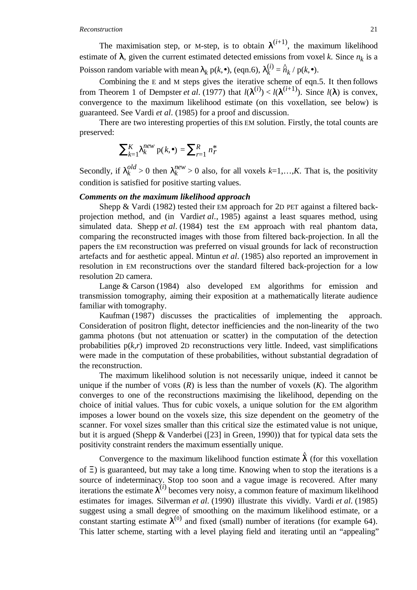The maximisation step, or M-step, is to obtain  $\lambda^{(i+1)}$ , the maximum likelihood estimate of  $\lambda$ , given the current estimated detected emissions from voxel *k*. Since  $n_k$  is a Poisson random variable with mean  $\lambda_k$  p(*k*,•), (eqn.6),  $\lambda_k^{(i)} = \hat{n}_k / p(k, \bullet)$ .

Combining the E and M steps gives the iterative scheme of eqn.5. It then follows from Theorem 1 of Dempster *et al.* (1977) that  $l(\lambda^{(i)}) < l(\lambda^{(i+1)})$ . Since  $l(\lambda)$  is convex, convergence to the maximum likelihood estimate (on this voxellation, see below) is guaranteed. See Vardi *et al*. (1985) for a proof and discussion.

There are two interesting properties of this EM solution. Firstly, the total counts are preserved:

$$
\sum_{k=1}^{K} \lambda_k^{new} p(k, \bullet) = \sum_{r=1}^{R} n_r^*
$$

Secondly, if  $\lambda_k^{old} > 0$  then  $\lambda_k^{new} > 0$  also, for all voxels  $k=1,...,K$ . That is, the positivity condition is satisfied for positive starting values.

### *Comments on the maximum likelihood approach*

Shepp & Vardi (1982) tested their EM approach for 2D PET against a filtered backprojection method, and (in Vardiet al., 1985) against a least squares method, using simulated data. Shepp *et al*. (1984) test the EM approach with real phantom data, comparing the reconstructed images with those from filtered back-projection. In all the papers the EM reconstruction was preferred on visual grounds for lack of reconstruction artefacts and for aesthetic appeal. Mintun *et al*. (1985) also reported an improvement in resolution in EM reconstructions over the standard filtered back-projection for a low resolution 2D camera.

Lange & Carson (1984) also developed EM algorithms for emission and transmission tomography*,* aiming their exposition at a mathematically literate audience familiar with tomography.

Kaufman (1987) discusses the practicalities of implementing the approach. Consideration of positron flight, detector inefficiencies and the non-linearity of the two gamma photons (but not attenuation or scatter) in the computation of the detection probabilities  $p(k,r)$  improved 2D reconstructions very little. Indeed, vast simplifications were made in the computation of these probabilities, without substantial degradation of the reconstruction.

The maximum likelihood solution is not necessarily unique, indeed it cannot be unique if the number of  $VORS (R)$  is less than the number of voxels  $(K)$ . The algorithm converges to one of the reconstructions maximising the likelihood, depending on the choice of initial values. Thus for cubic voxels, a unique solution for the EM algorithm imposes a lower bound on the voxels size, this size dependent on the geometry of the scanner. For voxel sizes smaller than this critical size the estimated value is not unique, but it is argued (Shepp & Vanderbei ([23] in Green, 1990)) that for typical data sets the positivity constraint renders the maximum essentially unique.

Convergence to the maximum likelihood function estimate  $\hat{\lambda}$  (for this voxellation of Ξ) is guaranteed, but may take a long time. Knowing when to stop the iterations is a source of indeterminacy. Stop too soon and a vague image is recovered. After many iterations the estimate  $\lambda^{(i)}$  becomes very noisy, a common feature of maximum likelihood estimates for images. Silverman *et al*. (1990) illustrate this vividly. Vardi *et al*. (1985) suggest using a small degree of smoothing on the maximum likelihood estimate, or a constant starting estimate  $\lambda^{(0)}$  and fixed (small) number of iterations (for example 64). This latter scheme, starting with a level playing field and iterating until an "appealing"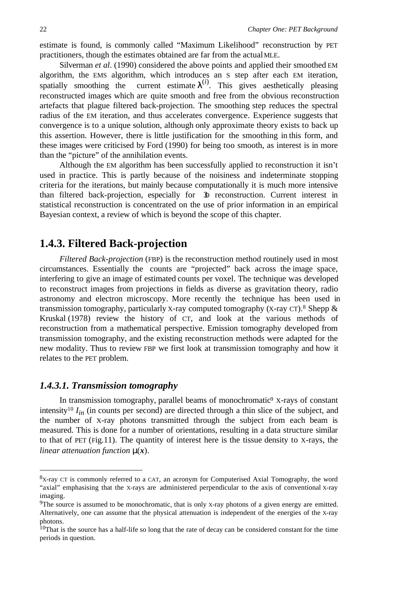estimate is found, is commonly called "Maximum Likelihood" reconstruction by PET practitioners, though the estimates obtained are far from the actual MLE.

Silverman *et al*. (1990) considered the above points and applied their smoothed EM algorithm, the EMS algorithm, which introduces an S step after each EM iteration, spatially smoothing the current estimate  $\lambda^{(i)}$ . This gives aesthetically pleasing reconstructed images which are quite smooth and free from the obvious reconstruction artefacts that plague filtered back-projection. The smoothing step reduces the spectral radius of the EM iteration, and thus accelerates convergence. Experience suggests that convergence is to a unique solution, although only approximate theory exists to back up this assertion. However, there is little justification for the smoothing in this form, and these images were criticised by Ford (1990) for being too smooth, as interest is in more than the "picture" of the annihilation events.

Although the EM algorithm has been successfully applied to reconstruction it isn't used in practice. This is partly because of the noisiness and indeterminate stopping criteria for the iterations, but mainly because computationally it is much more intensive than filtered back-projection, especially for 3D reconstruction. Current interest in statistical reconstruction is concentrated on the use of prior information in an empirical Bayesian context, a review of which is beyond the scope of this chapter.

# **1.4.3. Filtered Back-projection**

*Filtered Back-projection* (FBP) is the reconstruction method routinely used in most circumstances. Essentially the counts are "projected" back across the image space, interfering to give an image of estimated counts per voxel. The technique was developed to reconstruct images from projections in fields as diverse as gravitation theory, radio astronomy and electron microscopy. More recently the technique has been used in transmission tomography, particularly X-ray computed tomography (X-ray  $CT$ ).<sup>8</sup> Shepp  $\&$ Kruskal (1978) review the history of CT, and look at the various methods of reconstruction from a mathematical perspective. Emission tomography developed from transmission tomography, and the existing reconstruction methods were adapted for the new modality. Thus to review FBP we first look at transmission tomography and how it relates to the PET problem.

### *1.4.3.1. Transmission tomography*

In transmission tomography, parallel beams of monochromatic<sup>9</sup> X-rays of constant intensity<sup>10</sup>  $I_{in}$  (in counts per second) are directed through a thin slice of the subject, and the number of X-ray photons transmitted through the subject from each beam is measured. This is done for a number of orientations, resulting in a data structure similar to that of PET (Fig.11). The quantity of interest here is the tissue density to X-rays, the *linear attenuation function* µ(*x*).

 <sup>8</sup>X-ray CT is commonly referred to a CAT, an acronym for Computerised Axial Tomography, the word "axial" emphasising that the X-rays are administered perpendicular to the axis of conventional X-ray imaging.

<sup>&</sup>lt;sup>9</sup>The source is assumed to be monochromatic, that is only X-ray photons of a given energy are emitted. Alternatively, one can assume that the physical attenuation is independent of the energies of the X-ray photons.

<sup>&</sup>lt;sup>10</sup>That is the source has a half-life so long that the rate of decay can be considered constant for the time periods in question.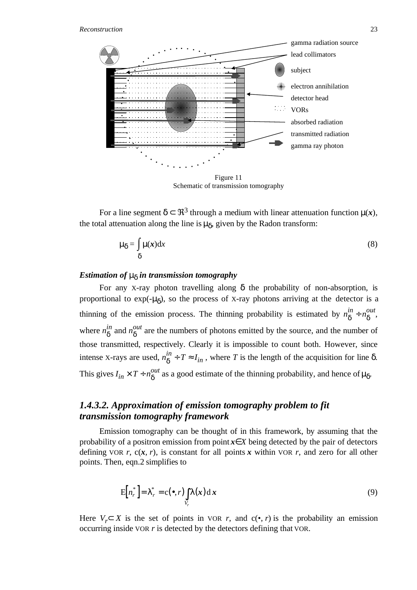

Schematic of transmission tomography

For a line segment  $\delta \subset \mathbb{R}^3$  through a medium with linear attenuation function  $\mu(x)$ , the total attenuation along the line is  $\mu_{\delta}$ , given by the Radon transform:

$$
\mu_{\delta} = \int \mu(x) dx
$$
\n
$$
\delta
$$
\n(8)

### *Estimation of*  $\mu_{\delta}$  *in transmission tomography*

For any X-ray photon travelling along  $\delta$  the probability of non-absorption, is proportional to  $exp(-\mu_{\delta})$ , so the process of X-ray photons arriving at the detector is a thinning of the emission process. The thinning probability is estimated by  $n_{\delta}^{in} + n_{\delta}^{out}$ , where  $n_{\delta}^{in}$  and  $n_{\delta}^{out}$  are the numbers of photons emitted by the source, and the number of those transmitted, respectively. Clearly it is impossible to count both. However, since intense X-rays are used,  $n_{\delta}^{in}$  ÷  $T \approx I_{in}$ , where *T* is the length of the acquisition for line  $\delta$ . This gives  $I_{in} \times T$  ÷  $n_{\delta}^{out}$  as a good estimate of the thinning probability, and hence of  $\mu_{\delta}$ .

### *1.4.3.2. Approximation of emission tomography problem to fit transmission tomography framework*

Emission tomography can be thought of in this framework, by assuming that the probability of a positron emission from point *x*∈*X* being detected by the pair of detectors defining VOR *r*,  $c(x, r)$ , is constant for all points x within VOR *r*, and zero for all other points. Then, eqn.2 simplifies to

$$
E[n_r^*] = \lambda_r^* = c(\bullet, r) \int\limits_{V_r} \lambda(x) dx
$$
\n(9)

Here *V<sub>r</sub>*⊂ *X* is the set of points in VOR *r*, and  $c(\bullet, r)$  is the probability an emission occurring inside VOR *r* is detected by the detectors defining that VOR.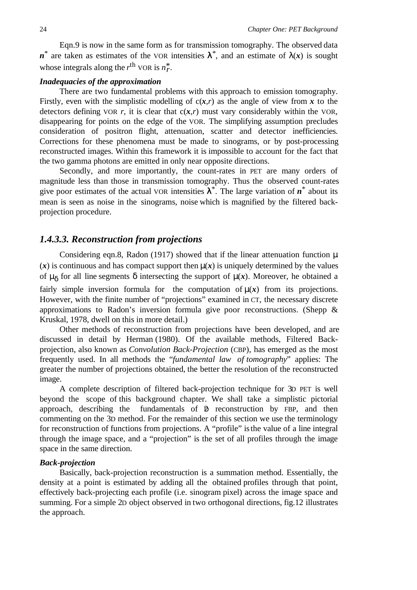Eqn.9 is now in the same form as for transmission tomography. The observed data *n*<sup>\*</sup> are taken as estimates of the VOR intensities  $\lambda^*$ , and an estimate of  $\lambda(x)$  is sought whose integrals along the  $r^{\text{th}}$  VOR is  $n_r^*$ .

### *Inadequacies of the approximation*

There are two fundamental problems with this approach to emission tomography. Firstly, even with the simplistic modelling of  $c(x,r)$  as the angle of view from x to the detectors defining VOR  $r$ , it is clear that  $c(x,r)$  must vary considerably within the VOR, disappearing for points on the edge of the VOR. The simplifying assumption precludes consideration of positron flight, attenuation, scatter and detector inefficiencies. Corrections for these phenomena must be made to sinograms, or by post-processing reconstructed images. Within this framework it is impossible to account for the fact that the two gamma photons are emitted in only near opposite directions.

Secondly, and more importantly, the count-rates in PET are many orders of magnitude less than those in transmission tomography. Thus the observed count-rates give poor estimates of the actual VOR intensities  $\lambda^*$ . The large variation of  $n^*$  about its mean is seen as noise in the sinograms, noise which is magnified by the filtered backprojection procedure.

### *1.4.3.3. Reconstruction from projections*

Considering eqn.8, Radon (1917) showed that if the linear attenuation function  $\mu$  $(x)$  is continuous and has compact support then  $\mu(x)$  is uniquely determined by the values of  $\mu_{\delta}$  for all line segments  $\delta$  intersecting the support of  $\mu(x)$ . Moreover, he obtained a fairly simple inversion formula for the computation of  $\mu(x)$  from its projections. However, with the finite number of "projections" examined in CT, the necessary discrete approximations to Radon's inversion formula give poor reconstructions. (Shepp & Kruskal, 1978, dwell on this in more detail.)

Other methods of reconstruction from projections have been developed, and are discussed in detail by Herman (1980). Of the available methods, Filtered Backprojection, also known as *Convolution Back-Projection* (CBP), has emerged as the most frequently used. In all methods the "*fundamental law of tomography*" applies: The greater the number of projections obtained, the better the resolution of the reconstructed image.

A complete description of filtered back-projection technique for 3D PET is well beyond the scope of this background chapter. We shall take a simplistic pictorial approach, describing the fundamentals of  $\delta$  reconstruction by FBP, and then commenting on the 3D method. For the remainder of this section we use the terminology for reconstruction of functions from projections. A "profile" is the value of a line integral through the image space, and a "projection" is the set of all profiles through the image space in the same direction.

#### *Back-projection*

Basically, back-projection reconstruction is a summation method. Essentially, the density at a point is estimated by adding all the obtained profiles through that point, effectively back-projecting each profile (i.e. sinogram pixel) across the image space and summing. For a simple 2D object observed in two orthogonal directions, fig.12 illustrates the approach.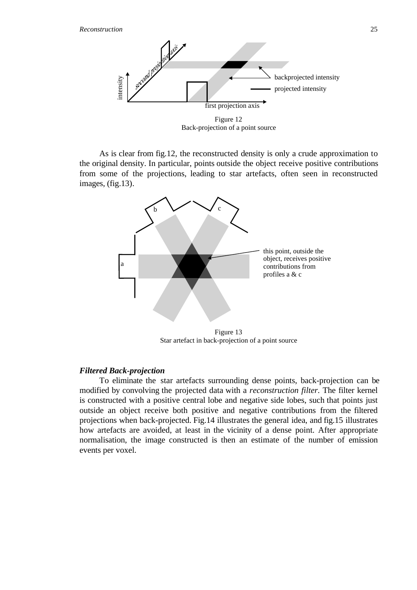

Figure 12 Back-projection of a point source

As is clear from fig.12, the reconstructed density is only a crude approximation to the original density. In particular, points outside the object receive positive contributions from some of the projections, leading to star artefacts, often seen in reconstructed images, (fig.13).



Star artefact in back-projection of a point source

### *Filtered Back-projection*

To eliminate the star artefacts surrounding dense points, back-projection can be modified by convolving the projected data with a *reconstruction filter*. The filter kernel is constructed with a positive central lobe and negative side lobes, such that points just outside an object receive both positive and negative contributions from the filtered projections when back-projected. Fig.14 illustrates the general idea, and fig.15 illustrates how artefacts are avoided, at least in the vicinity of a dense point. After appropriate normalisation, the image constructed is then an estimate of the number of emission events per voxel.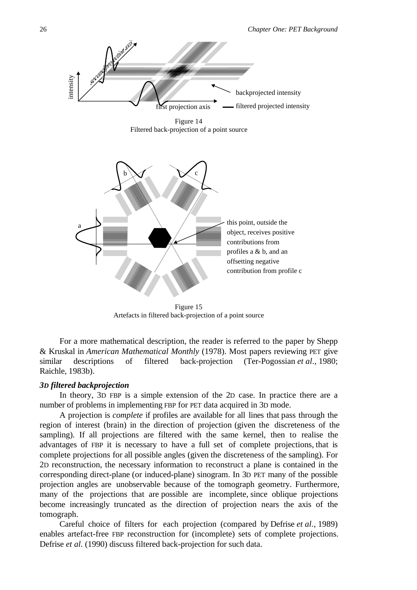

Figure 15 Artefacts in filtered back-projection of a point source

For a more mathematical description, the reader is referred to the paper by Shepp & Kruskal in *American Mathematical Monthly* (1978). Most papers reviewing PET give similar descriptions of filtered back-projection (Ter-Pogossian *et al*., 1980; Raichle, 1983b).

#### *3D filtered backprojection*

In theory, 3D FBP is a simple extension of the 2D case. In practice there are a number of problems in implementing FBP for PET data acquired in 3D mode.

A projection is *complete* if profiles are available for all lines that pass through the region of interest (brain) in the direction of projection (given the discreteness of the sampling). If all projections are filtered with the same kernel, then to realise the advantages of FBP it is necessary to have a full set of complete projections, that is complete projections for all possible angles (given the discreteness of the sampling). For 2D reconstruction, the necessary information to reconstruct a plane is contained in the corresponding direct-plane (or induced-plane) sinogram. In 3D PET many of the possible projection angles are unobservable because of the tomograph geometry. Furthermore, many of the projections that are possible are incomplete, since oblique projections become increasingly truncated as the direction of projection nears the axis of the tomograph.

Careful choice of filters for each projection (compared by Defrise *et al*., 1989) enables artefact-free FBP reconstruction for (incomplete) sets of complete projections. Defrise *et al*. (1990) discuss filtered back-projection for such data.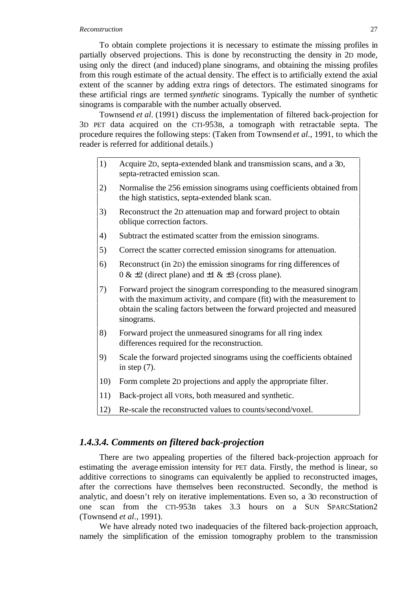#### *Reconstruction* 27

To obtain complete projections it is necessary to estimate the missing profiles in partially observed projections. This is done by reconstructing the density in 2D mode, using only the direct (and induced) plane sinograms, and obtaining the missing profiles from this rough estimate of the actual density. The effect is to artificially extend the axial extent of the scanner by adding extra rings of detectors. The estimated sinograms for these artificial rings are termed *synthetic* sinograms. Typically the number of synthetic sinograms is comparable with the number actually observed.

Townsend *et al*. (1991) discuss the implementation of filtered back-projection for 3D PET data acquired on the CTI-953B, a tomograph with retractable septa. The procedure requires the following steps: (Taken from Townsend *et al*., 1991, to which the reader is referred for additional details.)

- 1) Acquire 2D, septa-extended blank and transmission scans, and a 3D, septa-retracted emission scan.
- 2) Normalise the 256 emission sinograms using coefficients obtained from the high statistics, septa-extended blank scan.
- 3) Reconstruct the 2D attenuation map and forward project to obtain oblique correction factors.
- 4) Subtract the estimated scatter from the emission sinograms.
- 5) Correct the scatter corrected emission sinograms for attenuation.
- 6) Reconstruct (in 2D) the emission sinograms for ring differences of  $0 \& \pm 2$  (direct plane) and  $\pm 1 \& \pm 3$  (cross plane).
- 7) Forward project the sinogram corresponding to the measured sinogram with the maximum activity, and compare (fit) with the measurement to obtain the scaling factors between the forward projected and measured sinograms.
- 8) Forward project the unmeasured sinograms for all ring index differences required for the reconstruction.
- 9) Scale the forward projected sinograms using the coefficients obtained in step  $(7)$ .
- 10) Form complete 2D projections and apply the appropriate filter.
- 11) Back-project all VORs, both measured and synthetic.
- 12) Re-scale the reconstructed values to counts/second/voxel.

### *1.4.3.4. Comments on filtered back-projection*

There are two appealing properties of the filtered back-projection approach for estimating the average emission intensity for PET data. Firstly, the method is linear, so additive corrections to sinograms can equivalently be applied to reconstructed images, after the corrections have themselves been reconstructed. Secondly, the method is analytic, and doesn't rely on iterative implementations. Even so, a 3D reconstruction of one scan from the CTI-953B takes 3.3 hours on a SUN SPARCStation2 (Townsend *et al*., 1991).

We have already noted two inadequacies of the filtered back-projection approach, namely the simplification of the emission tomography problem to the transmission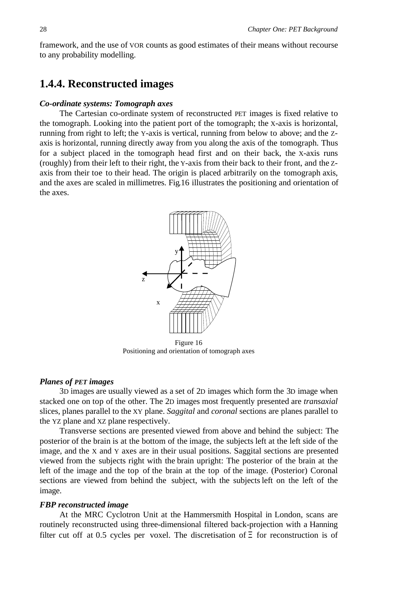framework, and the use of VOR counts as good estimates of their means without recourse to any probability modelling.

# **1.4.4. Reconstructed images**

### *Co-ordinate systems: Tomograph axes*

The Cartesian co-ordinate system of reconstructed PET images is fixed relative to the tomograph. Looking into the patient port of the tomograph; the X-axis is horizontal, running from right to left; the Y-axis is vertical, running from below to above; and the Zaxis is horizontal, running directly away from you along the axis of the tomograph. Thus for a subject placed in the tomograph head first and on their back, the X-axis runs (roughly) from their left to their right, the Y-axis from their back to their front, and the Zaxis from their toe to their head. The origin is placed arbitrarily on the tomograph axis, and the axes are scaled in millimetres. Fig.16 illustrates the positioning and orientation of the axes.



Positioning and orientation of tomograph axes

### *Planes of PET images*

3D images are usually viewed as a set of 2D images which form the 3D image when stacked one on top of the other. The 2D images most frequently presented are *transaxial* slices, planes parallel to the XY plane. *Saggital* and *coronal* sections are planes parallel to the YZ plane and XZ plane respectively.

Transverse sections are presented viewed from above and behind the subject: The posterior of the brain is at the bottom of the image, the subjects left at the left side of the image, and the X and Y axes are in their usual positions. Saggital sections are presented viewed from the subjects right with the brain upright: The posterior of the brain at the left of the image and the top of the brain at the top of the image. (Posterior) Coronal sections are viewed from behind the subject, with the subjects left on the left of the image.

### *FBP reconstructed image*

At the MRC Cyclotron Unit at the Hammersmith Hospital in London, scans are routinely reconstructed using three-dimensional filtered back-projection with a Hanning filter cut off at 0.5 cycles per voxel. The discretisation of  $\Xi$  for reconstruction is of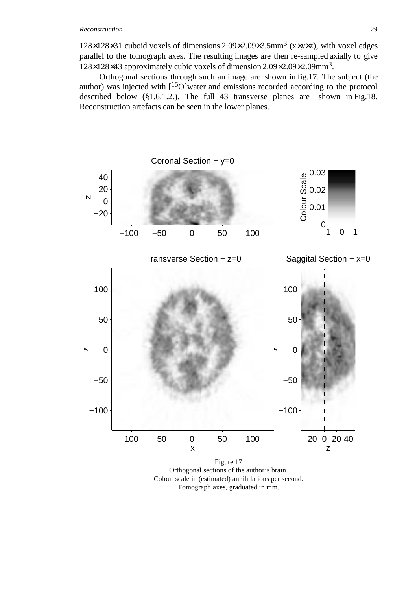### *Reconstruction* 29

 $128\times128\times31$  cuboid voxels of dimensions  $2.09\times2.09\times3.5$  mm<sup>3</sup> (x $\times$ y $\times$ z), with voxel edges parallel to the tomograph axes. The resulting images are then re-sampled axially to give 128×128×43 approximately cubic voxels of dimension 2.09×2.09×2.09mm3.

Orthogonal sections through such an image are shown in fig.17. The subject (the author) was injected with [15O]water and emissions recorded according to the protocol described below (§1.6.1.2.). The full 43 transverse planes are shown in Fig.18. Reconstruction artefacts can be seen in the lower planes.



Tomograph axes, graduated in mm.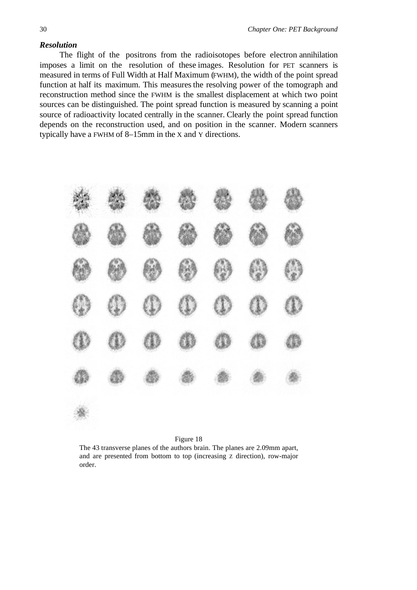### *Resolution*

The flight of the positrons from the radioisotopes before electron annihilation imposes a limit on the resolution of these images. Resolution for PET scanners is measured in terms of Full Width at Half Maximum (FWHM), the width of the point spread function at half its maximum. This measures the resolving power of the tomograph and reconstruction method since the FWHM is the smallest displacement at which two point sources can be distinguished. The point spread function is measured by scanning a point source of radioactivity located centrally in the scanner. Clearly the point spread function depends on the reconstruction used, and on position in the scanner. Modern scanners typically have a FWHM of 8–15mm in the X and Y directions.



#### Figure 18

The 43 transverse planes of the authors brain. The planes are 2.09mm apart, and are presented from bottom to top (increasing Z direction), row-major order.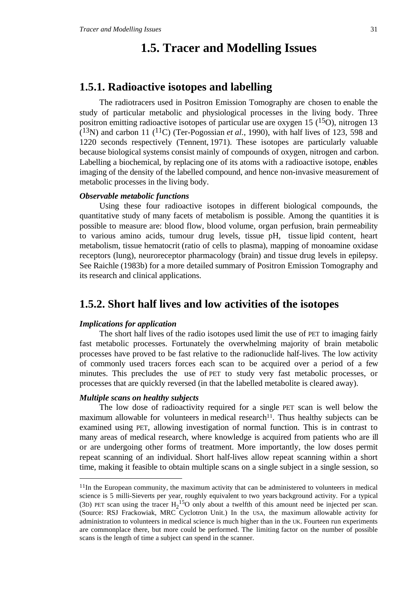# **1.5. Tracer and Modelling Issues**

### **1.5.1. Radioactive isotopes and labelling**

The radiotracers used in Positron Emission Tomography are chosen to enable the study of particular metabolic and physiological processes in the living body. Three positron emitting radioactive isotopes of particular use are oxygen 15  $(15<sub>O</sub>)$ , nitrogen 13  $(13)$  and carbon 11  $(11)$  (Ter-Pogossian *et al.*, 1990), with half lives of 123, 598 and 1220 seconds respectively (Tennent, 1971). These isotopes are particularly valuable because biological systems consist mainly of compounds of oxygen, nitrogen and carbon. Labelling a biochemical, by replacing one of its atoms with a radioactive isotope, enables imaging of the density of the labelled compound, and hence non-invasive measurement of metabolic processes in the living body.

### *Observable metabolic functions*

Using these four radioactive isotopes in different biological compounds, the quantitative study of many facets of metabolism is possible. Among the quantities it is possible to measure are: blood flow, blood volume, organ perfusion, brain permeability to various amino acids, tumour drug levels, tissue pH, tissue lipid content, heart metabolism, tissue hematocrit (ratio of cells to plasma), mapping of monoamine oxidase receptors (lung), neuroreceptor pharmacology (brain) and tissue drug levels in epilepsy. See Raichle (1983b) for a more detailed summary of Positron Emission Tomography and its research and clinical applications.

# **1.5.2. Short half lives and low activities of the isotopes**

#### *Implications for application*

The short half lives of the radio isotopes used limit the use of PET to imaging fairly fast metabolic processes. Fortunately the overwhelming majority of brain metabolic processes have proved to be fast relative to the radionuclide half-lives. The low activity of commonly used tracers forces each scan to be acquired over a period of a few minutes. This precludes the use of PET to study very fast metabolic processes, or processes that are quickly reversed (in that the labelled metabolite is cleared away).

### *Multiple scans on healthy subjects*

The low dose of radioactivity required for a single PET scan is well below the maximum allowable for volunteers in medical research<sup>11</sup>. Thus healthy subjects can be examined using PET, allowing investigation of normal function. This is in contrast to many areas of medical research, where knowledge is acquired from patients who are ill or are undergoing other forms of treatment. More importantly, the low doses permit repeat scanning of an individual. Short half-lives allow repeat scanning within a short time, making it feasible to obtain multiple scans on a single subject in a single session, so

 $11$ In the European community, the maximum activity that can be administered to volunteers in medical science is 5 milli-Sieverts per year, roughly equivalent to two years background activity. For a typical (3D) PET scan using the tracer  $H_2$ <sup>15</sup>O only about a twelfth of this amount need be injected per scan. (Source: RSJ Frackowiak, MRC Cyclotron Unit.) In the USA, the maximum allowable activity for administration to volunteers in medical science is much higher than in the UK. Fourteen run experiments are commonplace there, but more could be performed. The limiting factor on the number of possible scans is the length of time a subject can spend in the scanner.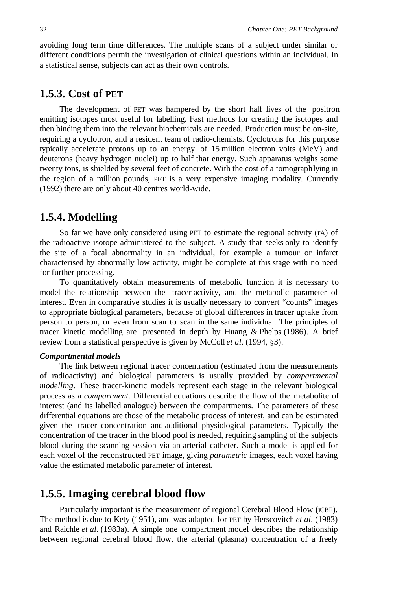avoiding long term time differences. The multiple scans of a subject under similar or different conditions permit the investigation of clinical questions within an individual. In a statistical sense, subjects can act as their own controls.

### **1.5.3. Cost of PET**

The development of PET was hampered by the short half lives of the positron emitting isotopes most useful for labelling. Fast methods for creating the isotopes and then binding them into the relevant biochemicals are needed. Production must be on-site, requiring a cyclotron, and a resident team of radio-chemists. Cyclotrons for this purpose typically accelerate protons up to an energy of 15 million electron volts (MeV) and deuterons (heavy hydrogen nuclei) up to half that energy. Such apparatus weighs some twenty tons, is shielded by several feet of concrete. With the cost of a tomograph lying in the region of a million pounds, PET is a very expensive imaging modality. Currently (1992) there are only about 40 centres world-wide.

### **1.5.4. Modelling**

So far we have only considered using PET to estimate the regional activity (rA) of the radioactive isotope administered to the subject. A study that seeks only to identify the site of a focal abnormality in an individual, for example a tumour or infarct characterised by abnormally low activity, might be complete at this stage with no need for further processing.

To quantitatively obtain measurements of metabolic function it is necessary to model the relationship between the tracer activity, and the metabolic parameter of interest. Even in comparative studies it is usually necessary to convert "counts" images to appropriate biological parameters, because of global differences in tracer uptake from person to person, or even from scan to scan in the same individual. The principles of tracer kinetic modelling are presented in depth by Huang & Phelps (1986). A brief review from a statistical perspective is given by McColl *et al*. (1994, §3).

### *Compartmental models*

The link between regional tracer concentration (estimated from the measurements of radioactivity) and biological parameters is usually provided by *compartmental modelling*. These tracer-kinetic models represent each stage in the relevant biological process as a *compartment*. Differential equations describe the flow of the metabolite of interest (and its labelled analogue) between the compartments. The parameters of these differential equations are those of the metabolic process of interest, and can be estimated given the tracer concentration and additional physiological parameters. Typically the concentration of the tracer in the blood pool is needed, requiring sampling of the subjects blood during the scanning session via an arterial catheter. Such a model is applied for each voxel of the reconstructed PET image, giving *parametric* images, each voxel having value the estimated metabolic parameter of interest.

### **1.5.5. Imaging cerebral blood flow**

Particularly important is the measurement of regional Cerebral Blood Flow (rCBF). The method is due to Kety (1951), and was adapted for PET by Herscovitch *et al*. (1983) and Raichle *et al*. (1983a). A simple one compartment model describes the relationship between regional cerebral blood flow, the arterial (plasma) concentration of a freely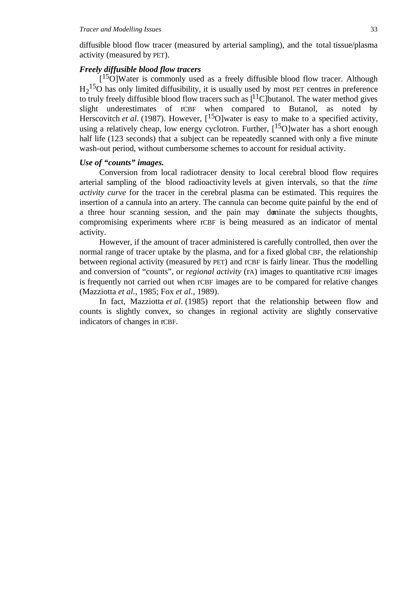diffusible blood flow tracer (measured by arterial sampling), and the total tissue/plasma activity (measured by PET).

### *Freely diffusible blood flow tracers*

[<sup>15</sup>O]Water is commonly used as a freely diffusible blood flow tracer. Although  $H<sub>2</sub><sup>15</sup>O$  has only limited diffusibility, it is usually used by most PET centres in preference to truly freely diffusible blood flow tracers such as  $[11C]$ butanol. The water method gives slight underestimates of rCBF when compared to Butanol, as noted by Herscovitch *et al.* (1987). However, [<sup>15</sup>O]water is easy to make to a specified activity, using a relatively cheap, low energy cyclotron. Further,  $[15O]$  water has a short enough half life (123 seconds) that a subject can be repeatedly scanned with only a five minute wash-out period, without cumbersome schemes to account for residual activity.

### *Use of "counts" images.*

Conversion from local radiotracer density to local cerebral blood flow requires arterial sampling of the blood radioactivity levels at given intervals, so that the *time activity curve* for the tracer in the cerebral plasma can be estimated. This requires the insertion of a cannula into an artery. The cannula can become quite painful by the end of a three hour scanning session, and the pain may dominate the subjects thoughts, compromising experiments where rCBF is being measured as an indicator of mental activity.

However, if the amount of tracer administered is carefully controlled, then over the normal range of tracer uptake by the plasma, and for a fixed global CBF, the relationship between regional activity (measured by PET) and rCBF is fairly linear. Thus the modelling and conversion of "counts", or *regional activity* (rA) images to quantitative rCBF images is frequently not carried out when rCBF images are to be compared for relative changes (Mazziotta *et al*., 1985; Fox *et al*., 1989).

In fact, Mazziotta *et al*. (1985) report that the relationship between flow and counts is slightly convex, so changes in regional activity are slightly conservative indicators of changes in rCBF.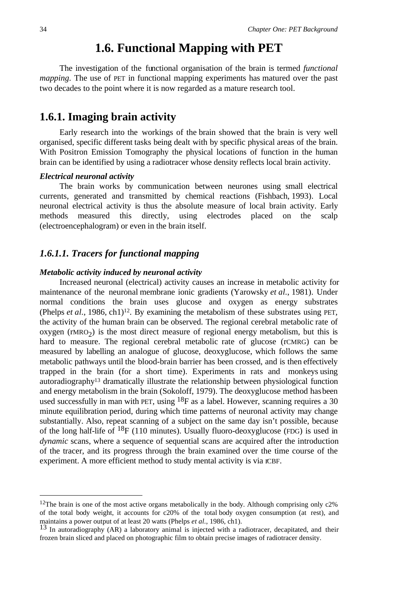# **1.6. Functional Mapping with PET**

The investigation of the functional organisation of the brain is termed *functional mapping*. The use of PET in functional mapping experiments has matured over the past two decades to the point where it is now regarded as a mature research tool.

# **1.6.1. Imaging brain activity**

Early research into the workings of the brain showed that the brain is very well organised, specific different tasks being dealt with by specific physical areas of the brain. With Positron Emission Tomography the physical locations of function in the human brain can be identified by using a radiotracer whose density reflects local brain activity.

### *Electrical neuronal activity*

The brain works by communication between neurones using small electrical currents, generated and transmitted by chemical reactions (Fishbach, 1993). Local neuronal electrical activity is thus the absolute measure of local brain activity. Early methods measured this directly, using electrodes placed on the scalp (electroencephalogram) or even in the brain itself.

### *1.6.1.1. Tracers for functional mapping*

### *Metabolic activity induced by neuronal activity*

Increased neuronal (electrical) activity causes an increase in metabolic activity for maintenance of the neuronal membrane ionic gradients (Yarowsky *et al*., 1981). Under normal conditions the brain uses glucose and oxygen as energy substrates (Phelps *et al.*, 1986, ch1)<sup>12</sup>. By examining the metabolism of these substrates using PET, the activity of the human brain can be observed. The regional cerebral metabolic rate of  $oxygen (rMRO<sub>2</sub>)$  is the most direct measure of regional energy metabolism, but this is hard to measure. The regional cerebral metabolic rate of glucose (rCMRG) can be measured by labelling an analogue of glucose, deoxyglucose, which follows the same metabolic pathways until the blood-brain barrier has been crossed, and is then effectively trapped in the brain (for a short time). Experiments in rats and monkeys using autoradiography<sup>13</sup> dramatically illustrate the relationship between physiological function and energy metabolism in the brain (Sokoloff, 1979). The deoxyglucose method has been used successfully in man with PET, using 18F as a label. However, scanning requires a 30 minute equilibration period, during which time patterns of neuronal activity may change substantially. Also, repeat scanning of a subject on the same day isn't possible, because of the long half-life of  $^{18}F$  (110 minutes). Usually fluoro-deoxyglucose (FDG) is used in *dynamic* scans, where a sequence of sequential scans are acquired after the introduction of the tracer, and its progress through the brain examined over the time course of the experiment. A more efficient method to study mental activity is via rCBF.

<sup>&</sup>lt;sup>12</sup>The brain is one of the most active organs metabolically in the body. Although comprising only  $c2\%$ of the total body weight, it accounts for c20% of the total body oxygen consumption (at rest), and maintains a power output of at least 20 watts (Phelps *et al.*, 1986, ch1).

<sup>&</sup>lt;sup>13</sup> In autoradiography (AR) a laboratory animal is injected with a radiotracer, decapitated, and their frozen brain sliced and placed on photographic film to obtain precise images of radiotracer density.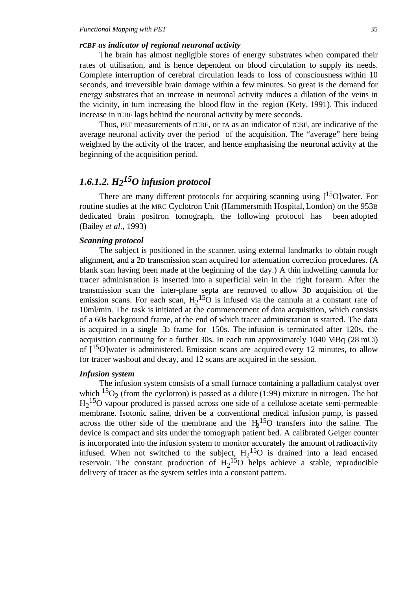#### *rCBF as indicator of regional neuronal activity*

The brain has almost negligible stores of energy substrates when compared their rates of utilisation, and is hence dependent on blood circulation to supply its needs. Complete interruption of cerebral circulation leads to loss of consciousness within 10 seconds, and irreversible brain damage within a few minutes. So great is the demand for energy substrates that an increase in neuronal activity induces a dilation of the veins in the vicinity, in turn increasing the blood flow in the region (Kety, 1991). This induced increase in rCBF lags behind the neuronal activity by mere seconds.

Thus, PET measurements of rCBF, or rA as an indicator of rCBF, are indicative of the average neuronal activity over the period of the acquisition. The "average" here being weighted by the activity of the tracer, and hence emphasising the neuronal activity at the beginning of the acquisition period.

# *1.6.1.2. H215O infusion protocol*

There are many different protocols for acquiring scanning using  $[15O]$  water. For routine studies at the MRC Cyclotron Unit (Hammersmith Hospital, London) on the 953B dedicated brain positron tomograph, the following protocol has been adopted (Bailey *et al*., 1993)

#### *Scanning protocol*

The subject is positioned in the scanner, using external landmarks to obtain rough alignment, and a 2D transmission scan acquired for attenuation correction procedures. (A blank scan having been made at the beginning of the day.) A thin indwelling cannula for tracer administration is inserted into a superficial vein in the right forearm. After the transmission scan the inter-plane septa are removed to allow 3D acquisition of the emission scans. For each scan,  $H_2$ <sup>15</sup>O is infused via the cannula at a constant rate of 10ml/min. The task is initiated at the commencement of data acquisition, which consists of a 60s background frame, at the end of which tracer administration is started. The data is acquired in a single 3D frame for 150s. The infusion is terminated after 120s, the acquisition continuing for a further 30s. In each run approximately 1040 MBq (28 mCi) of  $1^{15}$ Olwater is administered. Emission scans are acquired every 12 minutes, to allow for tracer washout and decay, and 12 scans are acquired in the session.

### *Infusion system*

The infusion system consists of a small furnace containing a palladium catalyst over which  ${}^{15}O_2$  (from the cyclotron) is passed as a dilute (1:99) mixture in nitrogen. The hot H<sub>2</sub><sup>15</sup>O vapour produced is passed across one side of a cellulose acetate semi-permeable membrane. Isotonic saline, driven be a conventional medical infusion pump, is passed across the other side of the membrane and the  $H_2$ <sup>15</sup>O transfers into the saline. The device is compact and sits under the tomograph patient bed. A calibrated Geiger counter is incorporated into the infusion system to monitor accurately the amount of radioactivity infused. When not switched to the subject,  $H_2$ <sup>15</sup>O is drained into a lead encased reservoir. The constant production of  $H_2$ <sup>15</sup>O helps achieve a stable, reproducible delivery of tracer as the system settles into a constant pattern.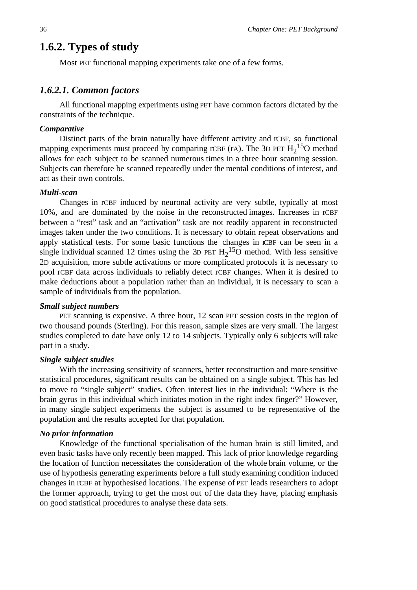# **1.6.2. Types of study**

Most PET functional mapping experiments take one of a few forms.

### *1.6.2.1. Common factors*

All functional mapping experiments using PET have common factors dictated by the constraints of the technique.

### *Comparative*

Distinct parts of the brain naturally have different activity and rCBF, so functional mapping experiments must proceed by comparing rCBF (rA). The 3D PET  $H_2$ <sup>15</sup>O method allows for each subject to be scanned numerous times in a three hour scanning session. Subjects can therefore be scanned repeatedly under the mental conditions of interest, and act as their own controls.

### *Multi-scan*

Changes in rCBF induced by neuronal activity are very subtle, typically at most 10%, and are dominated by the noise in the reconstructed images. Increases in rCBF between a "rest" task and an "activation" task are not readily apparent in reconstructed images taken under the two conditions. It is necessary to obtain repeat observations and apply statistical tests. For some basic functions the changes in rCBF can be seen in a single individual scanned 12 times using the 3D PET  $H_2$ <sup>15</sup>O method. With less sensitive 2D acquisition, more subtle activations or more complicated protocols it is necessary to pool rCBF data across individuals to reliably detect rCBF changes. When it is desired to make deductions about a population rather than an individual, it is necessary to scan a sample of individuals from the population.

### *Small subject numbers*

PET scanning is expensive. A three hour, 12 scan PET session costs in the region of two thousand pounds (Sterling). For this reason, sample sizes are very small. The largest studies completed to date have only 12 to 14 subjects. Typically only 6 subjects will take part in a study.

### *Single subject studies*

With the increasing sensitivity of scanners, better reconstruction and more sensitive statistical procedures, significant results can be obtained on a single subject. This has led to move to "single subject" studies. Often interest lies in the individual: "Where is the brain gyrus in this individual which initiates motion in the right index finger?" However, in many single subject experiments the subject is assumed to be representative of the population and the results accepted for that population.

### *No prior information*

Knowledge of the functional specialisation of the human brain is still limited, and even basic tasks have only recently been mapped. This lack of prior knowledge regarding the location of function necessitates the consideration of the whole brain volume, or the use of hypothesis generating experiments before a full study examining condition induced changes in rCBF at hypothesised locations. The expense of PET leads researchers to adopt the former approach, trying to get the most out of the data they have, placing emphasis on good statistical procedures to analyse these data sets.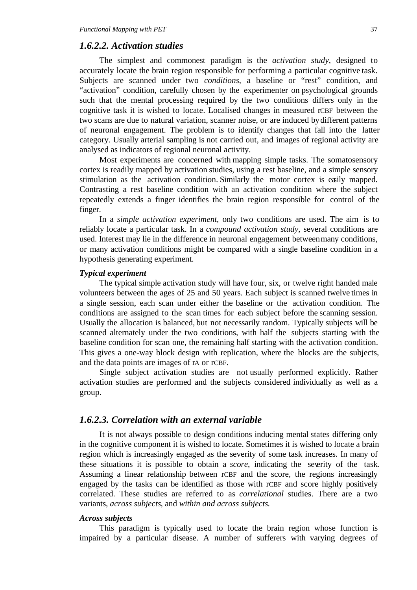### *1.6.2.2. Activation studies*

The simplest and commonest paradigm is the *activation study*, designed to accurately locate the brain region responsible for performing a particular cognitive task. Subjects are scanned under two *conditions*, a baseline or "rest" condition, and "activation" condition, carefully chosen by the experimenter on psychological grounds such that the mental processing required by the two conditions differs only in the cognitive task it is wished to locate. Localised changes in measured rCBF between the two scans are due to natural variation, scanner noise, or are induced by different patterns of neuronal engagement. The problem is to identify changes that fall into the latter category. Usually arterial sampling is not carried out, and images of regional activity are analysed as indicators of regional neuronal activity.

Most experiments are concerned with mapping simple tasks. The somatosensory cortex is readily mapped by activation studies, using a rest baseline, and a simple sensory stimulation as the activation condition. Similarly the motor cortex is easily mapped. Contrasting a rest baseline condition with an activation condition where the subject repeatedly extends a finger identifies the brain region responsible for control of the finger.

In a *simple activation experiment*, only two conditions are used. The aim is to reliably locate a particular task. In a *compound activation study*, several conditions are used. Interest may lie in the difference in neuronal engagement between many conditions, or many activation conditions might be compared with a single baseline condition in a hypothesis generating experiment.

### *Typical experiment*

The typical simple activation study will have four, six, or twelve right handed male volunteers between the ages of 25 and 50 years. Each subject is scanned twelve times in a single session, each scan under either the baseline or the activation condition. The conditions are assigned to the scan times for each subject before the scanning session. Usually the allocation is balanced, but not necessarily random. Typically subjects will be scanned alternately under the two conditions, with half the subjects starting with the baseline condition for scan one, the remaining half starting with the activation condition. This gives a one-way block design with replication, where the blocks are the subjects, and the data points are images of rA or rCBF.

Single subject activation studies are not usually performed explicitly. Rather activation studies are performed and the subjects considered individually as well as a group.

### *1.6.2.3. Correlation with an external variable*

It is not always possible to design conditions inducing mental states differing only in the cognitive component it is wished to locate. Sometimes it is wished to locate a brain region which is increasingly engaged as the severity of some task increases. In many of these situations it is possible to obtain a *score*, indicating the severity of the task. Assuming a linear relationship between rCBF and the score, the regions increasingly engaged by the tasks can be identified as those with rCBF and score highly positively correlated. These studies are referred to as *correlational* studies. There are a two variants, *across subjects*, and *within and across subjects*.

### *Across subjects*

This paradigm is typically used to locate the brain region whose function is impaired by a particular disease. A number of sufferers with varying degrees of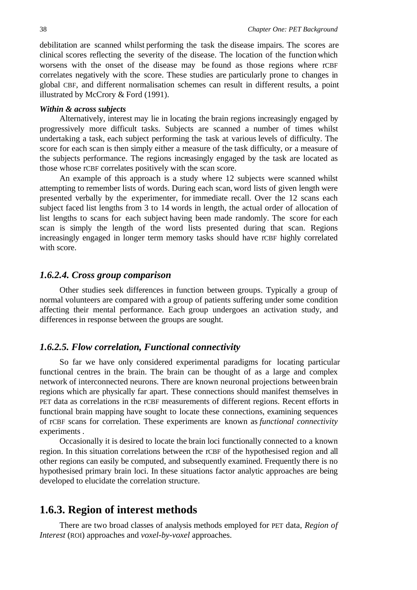debilitation are scanned whilst performing the task the disease impairs. The scores are clinical scores reflecting the severity of the disease. The location of the function which worsens with the onset of the disease may be found as those regions where rCBF correlates negatively with the score. These studies are particularly prone to changes in global CBF, and different normalisation schemes can result in different results, a point illustrated by McCrory & Ford (1991).

### *Within & across subjects*

Alternatively, interest may lie in locating the brain regions increasingly engaged by progressively more difficult tasks. Subjects are scanned a number of times whilst undertaking a task, each subject performing the task at various levels of difficulty. The score for each scan is then simply either a measure of the task difficulty, or a measure of the subjects performance. The regions increasingly engaged by the task are located as those whose rCBF correlates positively with the scan score.

An example of this approach is a study where 12 subjects were scanned whilst attempting to remember lists of words. During each scan, word lists of given length were presented verbally by the experimenter, for immediate recall. Over the 12 scans each subject faced list lengths from 3 to 14 words in length, the actual order of allocation of list lengths to scans for each subject having been made randomly. The score for each scan is simply the length of the word lists presented during that scan. Regions increasingly engaged in longer term memory tasks should have rCBF highly correlated with score.

### *1.6.2.4. Cross group comparison*

Other studies seek differences in function between groups. Typically a group of normal volunteers are compared with a group of patients suffering under some condition affecting their mental performance. Each group undergoes an activation study, and differences in response between the groups are sought.

### *1.6.2.5. Flow correlation, Functional connectivity*

So far we have only considered experimental paradigms for locating particular functional centres in the brain. The brain can be thought of as a large and complex network of interconnected neurons. There are known neuronal projections between brain regions which are physically far apart. These connections should manifest themselves in PET data as correlations in the rCBF measurements of different regions. Recent efforts in functional brain mapping have sought to locate these connections, examining sequences of rCBF scans for correlation. These experiments are known as *functional connectivity* experiments .

Occasionally it is desired to locate the brain loci functionally connected to a known region. In this situation correlations between the rCBF of the hypothesised region and all other regions can easily be computed, and subsequently examined. Frequently there is no hypothesised primary brain loci. In these situations factor analytic approaches are being developed to elucidate the correlation structure.

### **1.6.3. Region of interest methods**

There are two broad classes of analysis methods employed for PET data, *Region of Interest* (ROI) approaches and *voxel-by-voxel* approaches.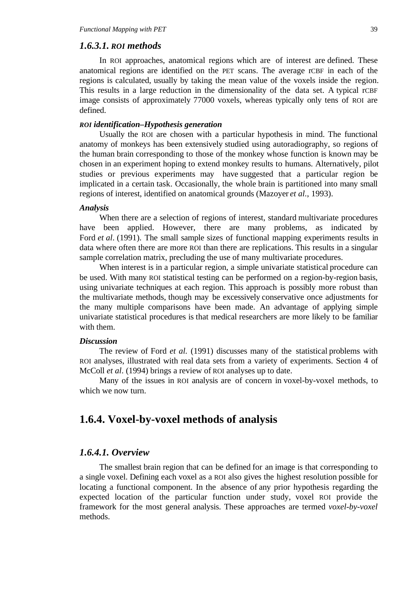### *1.6.3.1. ROI methods*

In ROI approaches, anatomical regions which are of interest are defined. These anatomical regions are identified on the PET scans. The average rCBF in each of the regions is calculated, usually by taking the mean value of the voxels inside the region. This results in a large reduction in the dimensionality of the data set. A typical rCBF image consists of approximately 77000 voxels, whereas typically only tens of ROI are defined.

### *ROI identification–Hypothesis generation*

Usually the ROI are chosen with a particular hypothesis in mind. The functional anatomy of monkeys has been extensively studied using autoradiography, so regions of the human brain corresponding to those of the monkey whose function is known may be chosen in an experiment hoping to extend monkey results to humans. Alternatively, pilot studies or previous experiments may have suggested that a particular region be implicated in a certain task. Occasionally, the whole brain is partitioned into many small regions of interest, identified on anatomical grounds (Mazoyer *et al*., 1993).

#### *Analysis*

When there are a selection of regions of interest, standard multivariate procedures have been applied. However, there are many problems, as indicated by Ford *et al*. (1991). The small sample sizes of functional mapping experiments results in data where often there are more ROI than there are replications. This results in a singular sample correlation matrix, precluding the use of many multivariate procedures.

When interest is in a particular region, a simple univariate statistical procedure can be used. With many ROI statistical testing can be performed on a region-by-region basis, using univariate techniques at each region. This approach is possibly more robust than the multivariate methods, though may be excessively conservative once adjustments for the many multiple comparisons have been made. An advantage of applying simple univariate statistical procedures is that medical researchers are more likely to be familiar with them.

### *Discussion*

The review of Ford *et al.* (1991) discusses many of the statistical problems with ROI analyses, illustrated with real data sets from a variety of experiments. Section 4 of McColl *et al*. (1994) brings a review of ROI analyses up to date.

Many of the issues in ROI analysis are of concern in voxel-by-voxel methods, to which we now turn.

# **1.6.4. Voxel-by-voxel methods of analysis**

### *1.6.4.1. Overview*

The smallest brain region that can be defined for an image is that corresponding to a single voxel. Defining each voxel as a ROI also gives the highest resolution possible for locating a functional component. In the absence of any prior hypothesis regarding the expected location of the particular function under study, voxel ROI provide the framework for the most general analysis. These approaches are termed *voxel-by-voxel* methods.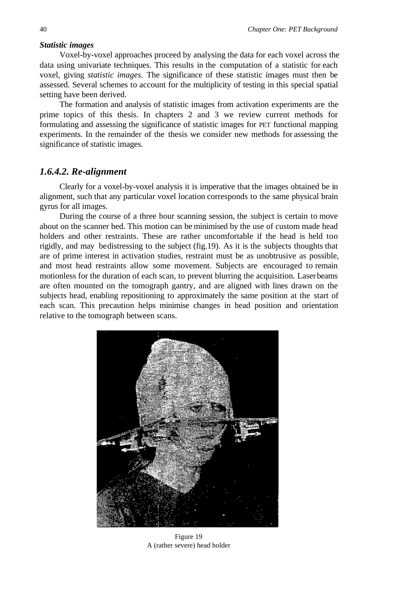### *Statistic images*

Voxel-by-voxel approaches proceed by analysing the data for each voxel across the data using univariate techniques. This results in the computation of a statistic for each voxel, giving *statistic images*. The significance of these statistic images must then be assessed. Several schemes to account for the multiplicity of testing in this special spatial setting have been derived.

The formation and analysis of statistic images from activation experiments are the prime topics of this thesis. In chapters 2 and 3 we review current methods for formulating and assessing the significance of statistic images for PET functional mapping experiments. In the remainder of the thesis we consider new methods for assessing the significance of statistic images.

### *1.6.4.2. Re-alignment*

Clearly for a voxel-by-voxel analysis it is imperative that the images obtained be in alignment, such that any particular voxel location corresponds to the same physical brain gyrus for all images.

During the course of a three hour scanning session, the subject is certain to move about on the scanner bed. This motion can be minimised by the use of custom made head holders and other restraints. These are rather uncomfortable if the head is held too rigidly, and may be distressing to the subject (fig.19). As it is the subjects thoughts that are of prime interest in activation studies, restraint must be as unobtrusive as possible, and most head restraints allow some movement. Subjects are encouraged to remain motionless for the duration of each scan, to prevent blurring the acquisition. Laser beams are often mounted on the tomograph gantry, and are aligned with lines drawn on the subjects head, enabling repositioning to approximately the same position at the start of each scan. This precaution helps minimise changes in head position and orientation relative to the tomograph between scans.



Figure 19 A (rather severe) head holder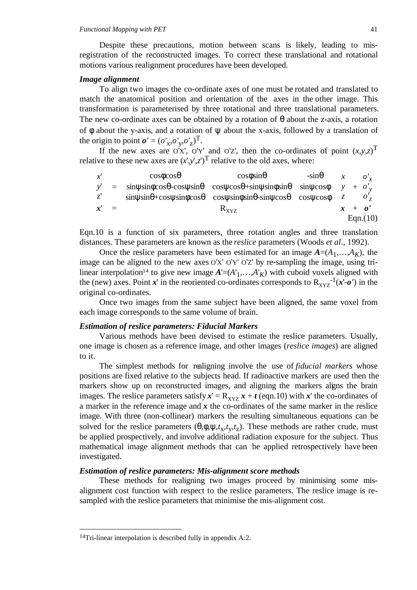Despite these precautions, motion between scans is likely, leading to misregistration of the reconstructed images. To correct these translational and rotational motions various realignment procedures have been developed.

#### *Image alignment*

To align two images the co-ordinate axes of one must be rotated and translated to match the anatomical position and orientation of the axes in the other image. This transformation is parameterised by three rotational and three translational parameters. The new co-ordinate axes can be obtained by a rotation of  $\theta$  about the z-axis, a rotation of φ about the y-axis, and a rotation of ψ about the x-axis, followed by a translation of the origin to point  $\boldsymbol{o}' = (o'_{x}, o'_{y}, o'_{z})^T$ .

If the new axes are O'X', O'Y' and O'Z', then the co-ordinates of point  $(x,y,z)$ <sup>T</sup> relative to these new axes are  $(x',y',z')^T$  relative to the old axes, where:

|                   | $\begin{pmatrix} x' \\ y' \\ z' \end{pmatrix} = \begin{pmatrix} \cos\phi\cos\theta & \cos\phi\sin\theta & -\sin\theta \\ \sin\psi\sin\phi\cos\theta - \cos\psi\sin\theta & \cos\psi\cos\theta + \sin\psi\sin\phi\sin\theta & \sin\psi\cos\phi \\ \sin\psi\sin\theta + \cos\psi\sin\phi\cos\theta & \cos\psi\sin\phi\sin\theta - \sin\psi\cos\theta & \cos\psi\cos\phi \end{pmatrix} \begin{pmatrix} x \\ y \\ z \end{pmatrix} + \begin{pmatrix} o'_x \\ o'_y \\ o'_z \end{pmatrix}$ |           |          |
|-------------------|-------------------------------------------------------------------------------------------------------------------------------------------------------------------------------------------------------------------------------------------------------------------------------------------------------------------------------------------------------------------------------------------------------------------------------------------------------------------------------------|-----------|----------|
|                   |                                                                                                                                                                                                                                                                                                                                                                                                                                                                                     |           |          |
| $\boldsymbol{x}'$ |                                                                                                                                                                                                                                                                                                                                                                                                                                                                                     | $R_{XYZ}$ | $x + o'$ |
|                   |                                                                                                                                                                                                                                                                                                                                                                                                                                                                                     |           | Eqn.(10) |

Eqn.10 is a function of six parameters, three rotation angles and three translation distances. These parameters are known as the *reslice* parameters (Woods *et al*., 1992).

Once the reslice parameters have been estimated for an image  $A=(A_1,...,A_K)$ , the image can be aligned to the new axes O'X' O'Y' O'Z' by re-sampling the image, using trilinear interpolation<sup>14</sup> to give new image  $A = (A'_1, \ldots, A'_K)$  with cuboid voxels aligned with the (new) axes. Point  $x'$  in the reoriented co-ordinates corresponds to  $R_{XYZ}^{-1}(x'-o')$  in the original co-ordinates.

Once two images from the same subject have been aligned, the same voxel from each image corresponds to the same volume of brain.

### *Estimation of reslice parameters: Fiducial Markers*

Various methods have been devised to estimate the reslice parameters. Usually, one image is chosen as a reference image, and other images (*reslice images*) are aligned to it.

The simplest methods for realigning involve the use of *fiducial markers* whose positions are fixed relative to the subjects head. If radioactive markers are used then the markers show up on reconstructed images, and aligning the markers aligns the brain images. The reslice parameters satisfy  $x' = R_{XYZ} x + t$  (eqn.10) with x' the co-ordinates of a marker in the reference image and *x* the co-ordinates of the same marker in the reslice image. With three (non-collinear) markers the resulting simultaneous equations can be solved for the reslice parameters  $(\theta, \phi, \psi, t_x, t_y, t_z)$ . These methods are rather crude, must be applied prospectively, and involve additional radiation exposure for the subject. Thus mathematical image alignment methods that can be applied retrospectively have been investigated.

### *Estimation of reslice parameters: Mis-alignment score methods*

These methods for realigning two images proceed by minimising some misalignment cost function with respect to the reslice parameters. The reslice image is resampled with the reslice parameters that minimise the mis-alignment cost.

 <sup>14</sup>Tri-linear interpolation is described fully in appendix A:2.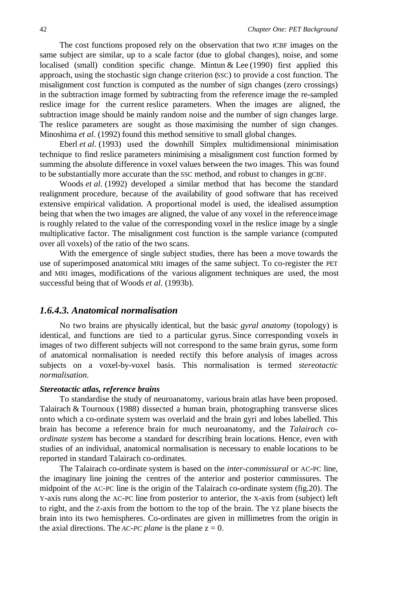The cost functions proposed rely on the observation that two rCBF images on the same subject are similar, up to a scale factor (due to global changes), noise, and some localised (small) condition specific change. Mintun & Lee (1990) first applied this approach, using the stochastic sign change criterion (SSC) to provide a cost function. The misalignment cost function is computed as the number of sign changes (zero crossings) in the subtraction image formed by subtracting from the reference image the re-sampled reslice image for the current reslice parameters. When the images are aligned, the subtraction image should be mainly random noise and the number of sign changes large. The reslice parameters are sought as those maximising the number of sign changes. Minoshima *et al*. (1992) found this method sensitive to small global changes.

Eberl *et al*. (1993) used the downhill Simplex multidimensional minimisation technique to find reslice parameters minimising a misalignment cost function formed by summing the absolute difference in voxel values between the two images. This was found to be substantially more accurate than the SSC method, and robust to changes in gCBF.

Woods *et al*. (1992) developed a similar method that has become the standard realignment procedure, because of the availability of good software that has received extensive empirical validation. A proportional model is used, the idealised assumption being that when the two images are aligned, the value of any voxel in the reference image is roughly related to the value of the corresponding voxel in the reslice image by a single multiplicative factor. The misalignment cost function is the sample variance (computed over all voxels) of the ratio of the two scans.

With the emergence of single subject studies, there has been a move towards the use of superimposed anatomical MRI images of the same subject. To co-register the PET and MRI images, modifications of the various alignment techniques are used, the most successful being that of Woods *et al*. (1993b).

### *1.6.4.3. Anatomical normalisation*

No two brains are physically identical, but the basic *gyral anatomy* (topology) is identical, and functions are tied to a particular gyrus. Since corresponding voxels in images of two different subjects will not correspond to the same brain gyrus, some form of anatomical normalisation is needed rectify this before analysis of images across subjects on a voxel-by-voxel basis. This normalisation is termed *stereotactic normalisation*.

### *Stereotactic atlas, reference brains*

To standardise the study of neuroanatomy, various brain atlas have been proposed. Talairach & Tournoux (1988) dissected a human brain, photographing transverse slices onto which a co-ordinate system was overlaid and the brain gyri and lobes labelled. This brain has become a reference brain for much neuroanatomy, and the *Talairach coordinate system* has become a standard for describing brain locations. Hence, even with studies of an individual, anatomical normalisation is necessary to enable locations to be reported in standard Talairach co-ordinates.

The Talairach co-ordinate system is based on the *inter-commissural* or AC-PC line, the imaginary line joining the centres of the anterior and posterior commissures. The midpoint of the AC-PC line is the origin of the Talairach co-ordinate system (fig.20). The Y-axis runs along the AC-PC line from posterior to anterior, the X-axis from (subject) left to right, and the Z-axis from the bottom to the top of the brain. The YZ plane bisects the brain into its two hemispheres. Co-ordinates are given in millimetres from the origin in the axial directions. The *AC-PC plane* is the plane  $z = 0$ .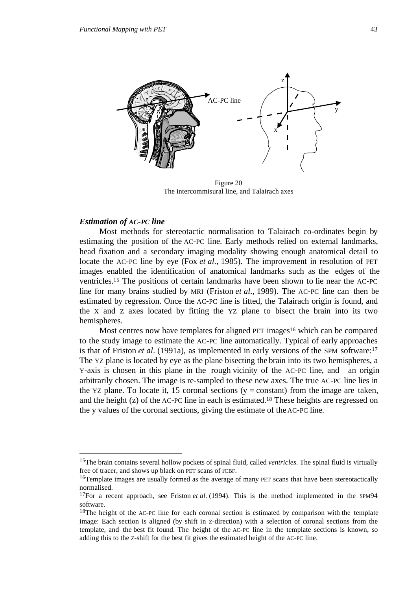

Figure 20 The intercommisural line, and Talairach axes

### *Estimation of AC-PC line*

Most methods for stereotactic normalisation to Talairach co-ordinates begin by estimating the position of the AC-PC line. Early methods relied on external landmarks, head fixation and a secondary imaging modality showing enough anatomical detail to locate the AC-PC line by eye (Fox *et al*., 1985). The improvement in resolution of PET images enabled the identification of anatomical landmarks such as the edges of the ventricles.15 The positions of certain landmarks have been shown to lie near the AC-PC line for many brains studied by MRI (Friston *et al*.*,* 1989). The AC-PC line can then be estimated by regression. Once the AC-PC line is fitted, the Talairach origin is found, and the X and Z axes located by fitting the YZ plane to bisect the brain into its two hemispheres.

Most centres now have templates for aligned PET images<sup>16</sup> which can be compared to the study image to estimate the AC-PC line automatically. Typical of early approaches is that of Friston *et al*. (1991a), as implemented in early versions of the SPM software:17 The YZ plane is located by eye as the plane bisecting the brain into its two hemispheres, a Y-axis is chosen in this plane in the rough vicinity of the AC-PC line, and an origin arbitrarily chosen. The image is re-sampled to these new axes. The true AC-PC line lies in the YZ plane. To locate it, 15 coronal sections  $(y = constant)$  from the image are taken, and the height (z) of the AC-PC line in each is estimated.18 These heights are regressed on the y values of the coronal sections, giving the estimate of the AC-PC line.

 <sup>15</sup>The brain contains several hollow pockets of spinal fluid, called *ventricles*. The spinal fluid is virtually free of tracer, and shows up black on PET scans of rCBF.

<sup>16</sup>Template images are usually formed as the average of many PET scans that have been stereotactically normalised.

<sup>17</sup>For a recent approach, see Friston *et al*. (1994). This is the method implemented in the SPM94 software.

<sup>&</sup>lt;sup>18</sup>The height of the AC-PC line for each coronal section is estimated by comparison with the template image: Each section is aligned (by shift in Z-direction) with a selection of coronal sections from the template, and the best fit found. The height of the AC-PC line in the template sections is known, so adding this to the Z-shift for the best fit gives the estimated height of the AC-PC line.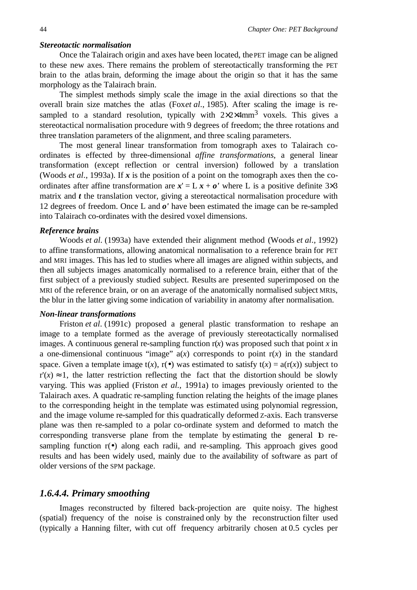### *Stereotactic normalisation*

Once the Talairach origin and axes have been located, the PET image can be aligned to these new axes. There remains the problem of stereotactically transforming the PET brain to the atlas brain, deforming the image about the origin so that it has the same morphology as the Talairach brain.

The simplest methods simply scale the image in the axial directions so that the overall brain size matches the atlas (Fox*et al.*, 1985). After scaling the image is resampled to a standard resolution, typically with  $2\times2\times4$ mm<sup>3</sup> voxels. This gives a stereotactical normalisation procedure with 9 degrees of freedom; the three rotations and three translation parameters of the alignment, and three scaling parameters.

The most general linear transformation from tomograph axes to Talairach coordinates is effected by three-dimensional *affine transformations*, a general linear transformation (except reflection or central inversion) followed by a translation (Woods *et al*., 1993a). If *x* is the position of a point on the tomograph axes then the coordinates after affine transformation are  $x' = L x + o'$  where L is a positive definite 3×3 matrix and *t* the translation vector, giving a stereotactical normalisation procedure with 12 degrees of freedom. Once L and *o'* have been estimated the image can be re-sampled into Talairach co-ordinates with the desired voxel dimensions.

### *Reference brains*

Woods *et al*. (1993a) have extended their alignment method (Woods *et al*., 1992) to affine transformations, allowing anatomical normalisation to a reference brain for PET and MRI images. This has led to studies where all images are aligned within subjects, and then all subjects images anatomically normalised to a reference brain, either that of the first subject of a previously studied subject. Results are presented superimposed on the MRI of the reference brain, or on an average of the anatomically normalised subject MRIs, the blur in the latter giving some indication of variability in anatomy after normalisation.

### *Non-linear transformations*

Friston *et al*. (1991c) proposed a general plastic transformation to reshape an image to a template formed as the average of previously stereotactically normalised images. A continuous general re-sampling function  $r(x)$  was proposed such that point *x* in a one-dimensional continuous "image"  $a(x)$  corresponds to point  $r(x)$  in the standard space. Given a template image  $t(x)$ ,  $r(\bullet)$  was estimated to satisfy  $t(x) = a(r(x))$  subject to  $r'(x) \approx 1$ , the latter restriction reflecting the fact that the distortion should be slowly varying. This was applied (Friston *et al.*, 1991a) to images previously oriented to the Talairach axes. A quadratic re-sampling function relating the heights of the image planes to the corresponding height in the template was estimated using polynomial regression, and the image volume re-sampled for this quadratically deformed Z-axis. Each transverse plane was then re-sampled to a polar co-ordinate system and deformed to match the corresponding transverse plane from the template by estimating the general D resampling function  $r(\bullet)$  along each radii, and re-sampling. This approach gives good results and has been widely used, mainly due to the availability of software as part of older versions of the SPM package.

### *1.6.4.4. Primary smoothing*

Images reconstructed by filtered back-projection are quite noisy. The highest (spatial) frequency of the noise is constrained only by the reconstruction filter used (typically a Hanning filter, with cut off frequency arbitrarily chosen at 0.5 cycles per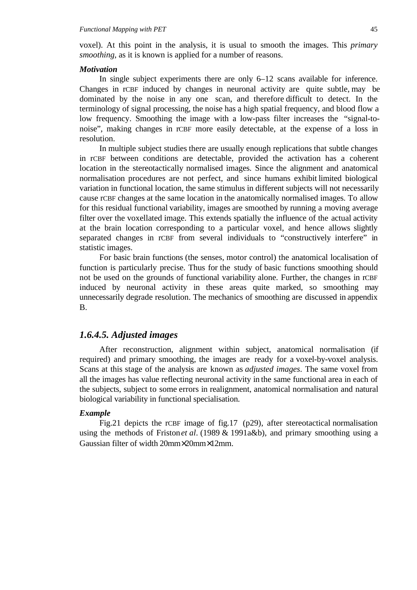voxel). At this point in the analysis, it is usual to smooth the images. This *primary smoothing*, as it is known is applied for a number of reasons.

### *Motivation*

In single subject experiments there are only 6–12 scans available for inference. Changes in rCBF induced by changes in neuronal activity are quite subtle, may be dominated by the noise in any one scan, and therefore difficult to detect. In the terminology of signal processing, the noise has a high spatial frequency, and blood flow a low frequency. Smoothing the image with a low-pass filter increases the "signal-tonoise", making changes in rCBF more easily detectable, at the expense of a loss in resolution.

In multiple subject studies there are usually enough replications that subtle changes in rCBF between conditions are detectable, provided the activation has a coherent location in the stereotactically normalised images. Since the alignment and anatomical normalisation procedures are not perfect, and since humans exhibit limited biological variation in functional location, the same stimulus in different subjects will not necessarily cause rCBF changes at the same location in the anatomically normalised images. To allow for this residual functional variability, images are smoothed by running a moving average filter over the voxellated image. This extends spatially the influence of the actual activity at the brain location corresponding to a particular voxel, and hence allows slightly separated changes in rCBF from several individuals to "constructively interfere" in statistic images.

For basic brain functions (the senses, motor control) the anatomical localisation of function is particularly precise. Thus for the study of basic functions smoothing should not be used on the grounds of functional variability alone. Further, the changes in rCBF induced by neuronal activity in these areas quite marked, so smoothing may unnecessarily degrade resolution. The mechanics of smoothing are discussed in appendix B.

### *1.6.4.5. Adjusted images*

After reconstruction, alignment within subject, anatomical normalisation (if required) and primary smoothing, the images are ready for a voxel-by-voxel analysis. Scans at this stage of the analysis are known as *adjusted images*. The same voxel from all the images has value reflecting neuronal activity in the same functional area in each of the subjects, subject to some errors in realignment, anatomical normalisation and natural biological variability in functional specialisation.

### *Example*

Fig.21 depicts the rCBF image of fig.17 (p29), after stereotactical normalisation using the methods of Friston *et al*. (1989 & 1991a&b), and primary smoothing using a Gaussian filter of width 20mm×20mm×12mm.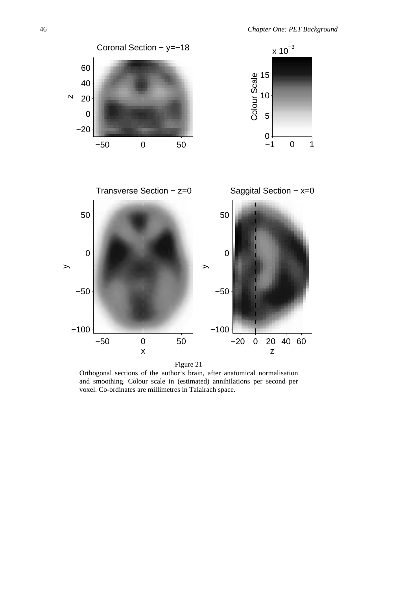

Orthogonal sections of the author's brain, after anatomical normalisation and smoothing. Colour scale in (estimated) annihilations per second per voxel. Co-ordinates are millimetres in Talairach space.